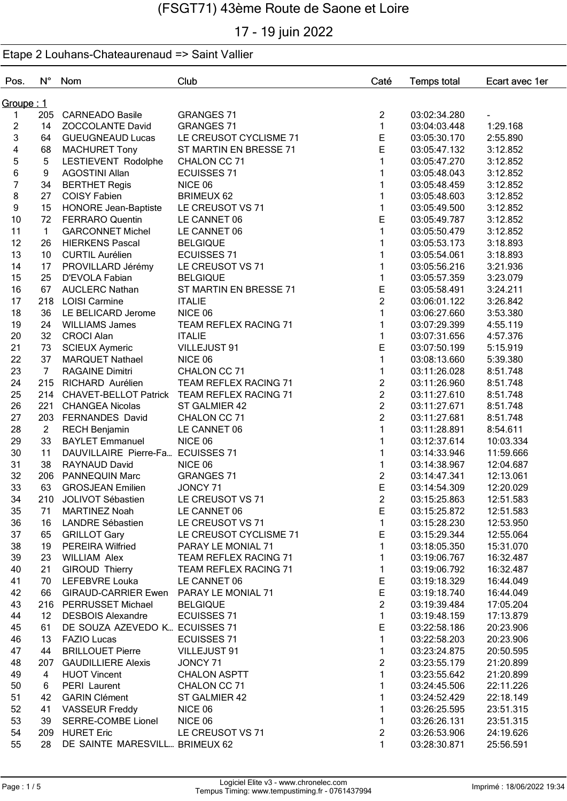# 17 - 19 juin 2022

| Pos.           | $N^{\circ}$       | Nom                                    | Club                                        | Caté                             | <b>Temps total</b> | Ecart avec 1er           |
|----------------|-------------------|----------------------------------------|---------------------------------------------|----------------------------------|--------------------|--------------------------|
| Groupe : 1     |                   |                                        |                                             |                                  |                    |                          |
| 1              |                   | 205 CARNEADO Basile                    | <b>GRANGES 71</b>                           | $\overline{2}$                   | 03:02:34.280       | $\overline{\phantom{a}}$ |
| $\overline{2}$ | 14                | ZOCCOLANTE David                       | <b>GRANGES 71</b>                           | $\mathbf{1}$                     | 03:04:03.448       | 1:29.168                 |
| 3              | 64                | <b>GUEUGNEAUD Lucas</b>                | LE CREUSOT CYCLISME 71                      | E                                | 03:05:30.170       | 2:55.890                 |
| 4              | 68                | <b>MACHURET Tony</b>                   | ST MARTIN EN BRESSE 71                      | E                                | 03:05:47.132       | 3:12.852                 |
| 5              | 5                 | LESTIEVENT Rodolphe                    | CHALON CC 71                                |                                  | 03:05:47.270       | 3:12.852                 |
| 6              | 9                 | <b>AGOSTINI Allan</b>                  | <b>ECUISSES 71</b>                          |                                  | 03:05:48.043       | 3:12.852                 |
| 7              | 34                | <b>BERTHET Regis</b>                   | NICE 06                                     |                                  | 03:05:48.459       | 3:12.852                 |
| 8              | 27                | <b>COISY Fabien</b>                    | <b>BRIMEUX 62</b>                           | 1                                | 03:05:48.603       | 3:12.852                 |
| 9              | 15                | <b>HONORE Jean-Baptiste</b>            | LE CREUSOT VS 71                            | 1                                | 03:05:49.500       | 3:12.852                 |
| 10             | 72                | <b>FERRARO Quentin</b>                 | LE CANNET 06                                | E                                | 03:05:49.787       | 3:12.852                 |
| 11             | $\mathbf{1}$      | <b>GARCONNET Michel</b>                | LE CANNET 06                                | $\mathbf{1}$                     | 03:05:50.479       | 3:12.852                 |
| 12             | 26                | <b>HIERKENS Pascal</b>                 | <b>BELGIQUE</b>                             | 1                                | 03:05:53.173       | 3:18.893                 |
| 13             | 10 <sup>°</sup>   | <b>CURTIL Aurélien</b>                 | <b>ECUISSES 71</b>                          |                                  | 03:05:54.061       | 3:18.893                 |
| 14             | 17                | PROVILLARD Jérémy                      | LE CREUSOT VS 71                            | 1                                | 03:05:56.216       | 3:21.936                 |
| 15             | 25                | D'EVOLA Fabian                         | <b>BELGIQUE</b>                             | 1                                | 03:05:57.359       | 3:23.079                 |
| 16             | 67                | <b>AUCLERC Nathan</b>                  | ST MARTIN EN BRESSE 71                      | E                                | 03:05:58.491       | 3:24.211                 |
| 17             |                   | 218 LOISI Carmine                      | <b>ITALIE</b>                               | $\overline{c}$                   | 03:06:01.122       | 3:26.842                 |
| 18             | 36                | LE BELICARD Jerome                     | NICE 06                                     | $\mathbf{1}$                     | 03:06:27.660       | 3:53.380                 |
| 19             | 24                | <b>WILLIAMS James</b>                  | <b>TEAM REFLEX RACING 71</b>                | 1                                | 03:07:29.399       | 4:55.119                 |
| 20             | 32 <sup>2</sup>   | <b>CROCI Alan</b>                      | <b>ITALIE</b>                               | 1                                | 03:07:31.656       | 4:57.376                 |
| 21             | 73                | <b>SCIEUX Aymeric</b>                  | VILLEJUST 91                                | E                                | 03:07:50.199       | 5:15.919                 |
| 22             | 37                | <b>MARQUET Nathael</b>                 | NICE 06                                     | $\mathbf{1}$                     | 03:08:13.660       | 5:39.380                 |
| 23             | $\overline{7}$    | <b>RAGAINE Dimitri</b>                 | CHALON CC 71                                | $\mathbf{1}$                     | 03:11:26.028       | 8:51.748                 |
| 24             |                   |                                        |                                             |                                  |                    |                          |
|                | 215               | RICHARD Aurélien                       | <b>TEAM REFLEX RACING 71</b>                | $\overline{c}$<br>$\overline{2}$ | 03:11:26.960       | 8:51.748                 |
| 25<br>26       | 214               |                                        | CHAVET-BELLOT Patrick TEAM REFLEX RACING 71 | $\overline{2}$                   | 03:11:27.610       | 8:51.748                 |
|                | 221               | <b>CHANGEA Nicolas</b>                 | ST GALMIER 42                               | $\overline{2}$                   | 03:11:27.671       | 8:51.748                 |
| 27             | 203               | FERNANDES David                        | CHALON CC 71                                |                                  | 03:11:27.681       | 8:51.748                 |
| 28             | $\overline{2}$    | <b>RECH Benjamin</b>                   | LE CANNET 06                                | $\mathbf{1}$                     | 03:11:28.891       | 8:54.611                 |
| 29             | 33                | <b>BAYLET Emmanuel</b>                 | NICE 06                                     |                                  | 03:12:37.614       | 10:03.334                |
| 30             | 11                | DAUVILLAIRE Pierre-Fa ECUISSES 71      |                                             | 1                                | 03:14:33.946       | 11:59.666                |
| 31             | 38                | RAYNAUD David                          | NICE 06                                     | 1                                | 03:14:38.967       | 12:04.687                |
| 32             | 206               | <b>PANNEQUIN Marc</b>                  | <b>GRANGES 71</b>                           | $\overline{c}$                   | 03:14:47.341       | 12:13.061                |
| 33             | 63                | <b>GROSJEAN Emilien</b>                | JONCY 71                                    | E                                | 03:14:54.309       | 12:20.029                |
| 34             | 210               | JOLIVOT Sébastien                      | LE CREUSOT VS 71                            | $\overline{2}$                   | 03:15:25.863       | 12:51.583                |
| 35             | 71                | <b>MARTINEZ Noah</b>                   | LE CANNET 06                                | $\mathsf E$                      | 03:15:25.872       | 12:51.583                |
| 36             | 16                | <b>LANDRE Sébastien</b>                | LE CREUSOT VS 71                            | $\mathbf{1}$                     | 03:15:28.230       | 12:53.950                |
| 37             | 65                | <b>GRILLOT Gary</b>                    | LE CREUSOT CYCLISME 71                      | E                                | 03:15:29.344       | 12:55.064                |
| 38             | 19                | PEREIRA Wilfried                       | PARAY LE MONIAL 71                          | $\mathbf{1}$                     | 03:18:05.350       | 15:31.070                |
| 39             | 23                | <b>WILLIAM Alex</b>                    | TEAM REFLEX RACING 71                       | 1                                | 03:19:06.767       | 16:32.487                |
| 40             | 21                | <b>GIROUD Thierry</b>                  | TEAM REFLEX RACING 71                       | $\mathbf{1}$                     | 03:19:06.792       | 16:32.487                |
| 41             | 70                | LEFEBVRE Louka                         | LE CANNET 06                                | E                                | 03:19:18.329       | 16:44.049                |
| 42             | 66                | GIRAUD-CARRIER Ewen PARAY LE MONIAL 71 |                                             | E                                | 03:19:18.740       | 16:44.049                |
| 43             | 216               | PERRUSSET Michael                      | <b>BELGIQUE</b>                             | $\overline{c}$                   | 03:19:39.484       | 17:05.204                |
| 44             | $12 \overline{ }$ | <b>DESBOIS Alexandre</b>               | <b>ECUISSES 71</b>                          | $\mathbf{1}$                     | 03:19:48.159       | 17:13.879                |
| 45             | 61                | DE SOUZA AZEVEDO K ECUISSES 71         |                                             | $\mathsf E$                      | 03:22:58.186       | 20:23.906                |
| 46             | 13                | <b>FAZIO Lucas</b>                     | <b>ECUISSES 71</b>                          | $\mathbf{1}$                     | 03:22:58.203       | 20:23.906                |
| 47             | 44                | <b>BRILLOUET Pierre</b>                | VILLEJUST 91                                | 1                                | 03:23:24.875       | 20:50.595                |
| 48             | 207               | <b>GAUDILLIERE Alexis</b>              | JONCY 71                                    | $\overline{c}$                   | 03:23:55.179       | 21:20.899                |
| 49             | 4                 | <b>HUOT Vincent</b>                    | <b>CHALON ASPTT</b>                         | $\mathbf{1}$                     | 03:23:55.642       | 21:20.899                |
| 50             | 6.                | PERI Laurent                           | CHALON CC 71                                | 1                                | 03:24:45.506       | 22:11.226                |
| 51             | 42                | <b>GARIN Clément</b>                   | ST GALMIER 42                               | 1                                | 03:24:52.429       | 22:18.149                |
| 52             | 41                | <b>VASSEUR Freddy</b>                  | NICE 06                                     | 1                                | 03:26:25.595       | 23:51.315                |
| 53             | 39                | SERRE-COMBE Lionel                     | NICE 06                                     | 1                                | 03:26:26.131       | 23:51.315                |
| 54             | 209               | <b>HURET Eric</b>                      | LE CREUSOT VS 71                            | $\overline{2}$                   | 03:26:53.906       | 24:19.626                |
| 55             | 28                | DE SAINTE MARESVILL BRIMEUX 62         |                                             | $\mathbf{1}$                     | 03:28:30.871       | 25:56.591                |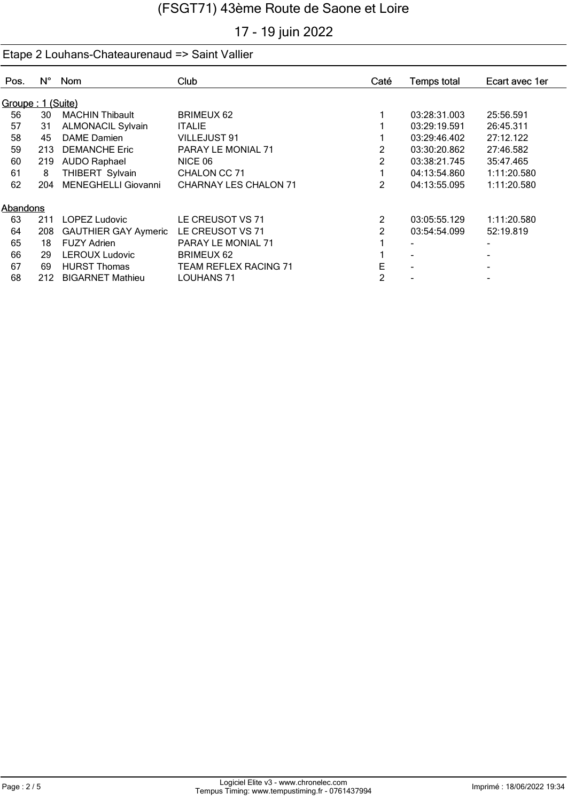# 17 - 19 juin 2022

| Pos.              | $N^{\circ}$ | <b>Nom</b>                  | <b>Club</b>                  | Caté           | <b>Temps total</b> | Ecart avec 1er |
|-------------------|-------------|-----------------------------|------------------------------|----------------|--------------------|----------------|
| Groupe: 1 (Suite) |             |                             |                              |                |                    |                |
| 56                | 30          | <b>MACHIN Thibault</b>      | <b>BRIMEUX 62</b>            |                | 03:28:31.003       | 25:56.591      |
| 57                | 31          | <b>ALMONACIL Sylvain</b>    | <b>ITALIE</b>                |                | 03:29:19.591       | 26:45.311      |
| 58                | 45          | DAME Damien                 | <b>VILLEJUST 91</b>          |                | 03:29:46.402       | 27:12.122      |
| 59                | 213         | <b>DEMANCHE Eric</b>        | PARAY LE MONIAL 71           | $\overline{2}$ | 03:30:20.862       | 27:46.582      |
| 60                | 219         | <b>AUDO Raphael</b>         | NICE 06                      | 2              | 03:38:21.745       | 35:47.465      |
| 61                | 8           | THIBERT Sylvain             | CHALON CC 71                 |                | 04:13:54.860       | 1:11:20.580    |
| 62                | 204         | <b>MENEGHELLI Giovanni</b>  | <b>CHARNAY LES CHALON 71</b> | 2              | 04:13:55.095       | 1:11:20.580    |
| Abandons          |             |                             |                              |                |                    |                |
| 63                | 211         | <b>LOPEZ Ludovic</b>        | LE CREUSOT VS 71             | 2              | 03:05:55.129       | 1:11:20.580    |
| 64                | 208         | <b>GAUTHIER GAY Aymeric</b> | LE CREUSOT VS 71             | $\mathcal{P}$  | 03:54:54.099       | 52:19.819      |
| 65                | 18          | <b>FUZY Adrien</b>          | PARAY LE MONIAL 71           |                |                    |                |
| 66                | 29          | <b>LEROUX Ludovic</b>       | <b>BRIMEUX 62</b>            |                |                    |                |
| 67                | 69          | <b>HURST Thomas</b>         | TEAM REFLEX RACING 71        | E              |                    |                |
| 68                | 212         | <b>BIGARNET Mathieu</b>     | <b>LOUHANS 71</b>            | 2              |                    |                |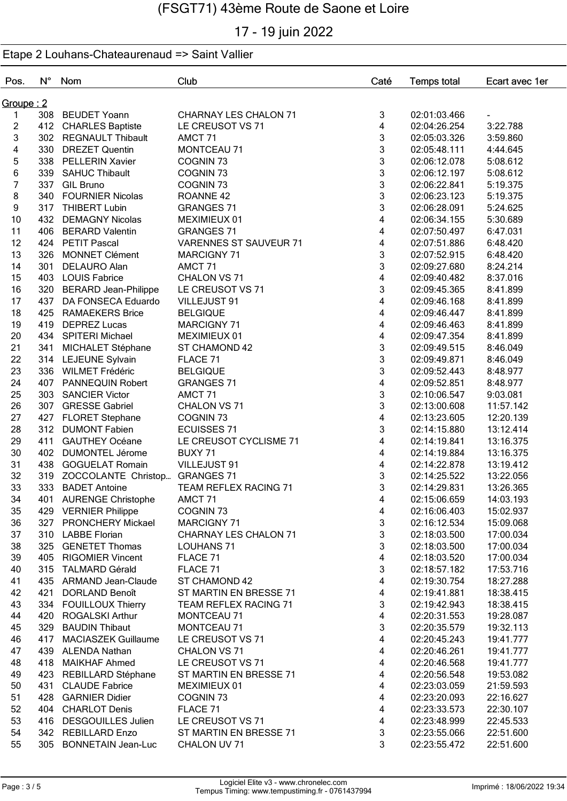# 17 - 19 juin 2022

| Pos.              | $N^{\circ}$ | Nom                            | Club                          | Caté   | <b>Temps total</b> | Ecart avec 1er |
|-------------------|-------------|--------------------------------|-------------------------------|--------|--------------------|----------------|
| <u>Groupe : 2</u> |             |                                |                               |        |                    |                |
| 1                 |             | 308 BEUDET Yoann               | CHARNAY LES CHALON 71         | 3      | 02:01:03.466       |                |
| $\overline{2}$    | 412         | <b>CHARLES Baptiste</b>        | LE CREUSOT VS 71              | 4      | 02:04:26.254       | 3:22.788       |
| 3                 |             | 302 REGNAULT Thibault          | AMCT <sub>71</sub>            | 3      | 02:05:03.326       | 3:59.860       |
| 4                 |             | 330 DREZET Quentin             | <b>MONTCEAU 71</b>            | 3      | 02:05:48.111       | 4:44.645       |
| 5                 |             | 338 PELLERIN Xavier            | COGNIN <sub>73</sub>          | 3      | 02:06:12.078       | 5:08.612       |
| 6                 | 339         | <b>SAHUC Thibault</b>          | COGNIN <sub>73</sub>          | 3      | 02:06:12.197       | 5:08.612       |
| $\overline{7}$    |             | 337 GIL Bruno                  | COGNIN <sub>73</sub>          | 3      | 02:06:22.841       | 5:19.375       |
| 8                 | 340         | <b>FOURNIER Nicolas</b>        | ROANNE <sub>42</sub>          | 3      | 02:06:23.123       | 5:19.375       |
| 9                 |             | 317 THIBERT Lubin              | <b>GRANGES 71</b>             | 3      | 02:06:28.091       | 5:24.625       |
| 10                |             | 432 DEMAGNY Nicolas            | MEXIMIEUX 01                  | 4      | 02:06:34.155       | 5:30.689       |
| 11                |             | 406 BERARD Valentin            | <b>GRANGES 71</b>             | 4      | 02:07:50.497       | 6:47.031       |
| 12                |             | 424 PETIT Pascal               | <b>VARENNES ST SAUVEUR 71</b> | 4      | 02:07:51.886       | 6:48.420       |
| 13                | 326         | <b>MONNET Clément</b>          | <b>MARCIGNY 71</b>            | 3      | 02:07:52.915       | 6:48.420       |
| 14                | 301         | <b>DELAURO Alan</b>            | AMCT 71                       | 3      | 02:09:27.680       | 8:24.214       |
| 15                |             | 403 LOUIS Fabrice              | CHALON VS 71                  | 4      | 02:09:40.482       | 8:37.016       |
| 16                | 320         | <b>BERARD Jean-Philippe</b>    | LE CREUSOT VS 71              | 3      | 02:09:45.365       | 8:41.899       |
| 17                | 437         | DA FONSECA Eduardo             | VILLEJUST 91                  | 4      | 02:09:46.168       | 8:41.899       |
| 18                | 425         | <b>RAMAEKERS Brice</b>         | <b>BELGIQUE</b>               | 4      | 02:09:46.447       | 8:41.899       |
| 19                | 419         | <b>DEPREZ Lucas</b>            | <b>MARCIGNY 71</b>            | 4      | 02:09:46.463       | 8:41.899       |
| 20                |             | 434 SPITERI Michael            | MEXIMIEUX 01                  | 4      | 02:09:47.354       | 8:41.899       |
| 21                | 341         | MICHALET Stéphane              | ST CHAMOND 42                 | 3      | 02:09:49.515       | 8:46.049       |
| 22                |             | 314 LEJEUNE Sylvain            | FLACE 71                      | 3      | 02:09:49.871       | 8:46.049       |
| 23                |             | 336 WILMET Frédéric            | <b>BELGIQUE</b>               | 3      | 02:09:52.443       | 8:48.977       |
| 24                | 407         | PANNEQUIN Robert               | <b>GRANGES 71</b>             | 4      | 02:09:52.851       | 8:48.977       |
| 25                | 303         | <b>SANCIER Victor</b>          | AMCT <sub>71</sub>            | 3      | 02:10:06.547       | 9:03.081       |
| 26                | 307         | <b>GRESSE Gabriel</b>          | CHALON VS 71                  | 3      | 02:13:00.608       | 11:57.142      |
| 27                | 427         |                                | COGNIN <sub>73</sub>          | 4      | 02:13:23.605       |                |
| 28                | 312         | <b>FLORET Stephane</b>         |                               |        |                    | 12:20.139      |
| 29                | 411         | <b>DUMONT Fabien</b>           | <b>ECUISSES 71</b>            | 3<br>4 | 02:14:15.880       | 13:12.414      |
|                   |             | <b>GAUTHEY Océane</b>          | LE CREUSOT CYCLISME 71        |        | 02:14:19.841       | 13:16.375      |
| 30                | 402         | <b>DUMONTEL Jérome</b>         | BUXY 71                       | 4      | 02:14:19.884       | 13:16.375      |
| 31                | 438         | <b>GOGUELAT Romain</b>         | VILLEJUST 91                  | 4      | 02:14:22.878       | 13:19.412      |
| 32                | 319         | ZOCCOLANTE Christop GRANGES 71 |                               | 3<br>3 | 02:14:25.522       | 13:22.056      |
| 33                | 333         | <b>BADET Antoine</b>           | <b>TEAM REFLEX RACING 71</b>  |        | 02:14:29.831       | 13:26.365      |
| 34                |             | 401 AURENGE Christophe         | AMCT <sub>71</sub>            | 4      | 02:15:06.659       | 14:03.193      |
| 35                |             | 429 VERNIER Philippe           | COGNIN <sub>73</sub>          | 4      | 02:16:06.403       | 15:02.937      |
| 36                |             | 327 PRONCHERY Mickael          | MARCIGNY 71                   | 3      | 02:16:12.534       | 15:09.068      |
| 37                |             | 310 LABBE Florian              | CHARNAY LES CHALON 71         | 3      | 02:18:03.500       | 17:00.034      |
| 38                |             | 325 GENETET Thomas             | <b>LOUHANS 71</b>             | 3      | 02:18:03.500       | 17:00.034      |
| 39                |             | 405 RIGOMIER Vincent           | FLACE 71                      | 4      | 02:18:03.520       | 17:00.034      |
| 40                |             | 315 TALMARD Gérald             | FLACE 71                      | 3      | 02:18:57.182       | 17:53.716      |
| 41                |             | 435 ARMAND Jean-Claude         | ST CHAMOND 42                 | 4      | 02:19:30.754       | 18:27.288      |
| 42                |             | 421 DORLAND Benoît             | ST MARTIN EN BRESSE 71        | 4      | 02:19:41.881       | 18:38.415      |
| 43                |             | 334 FOUILLOUX Thierry          | TEAM REFLEX RACING 71         | 3      | 02:19:42.943       | 18:38.415      |
| 44                |             | 420 ROGALSKI Arthur            | MONTCEAU 71                   | 4      | 02:20:31.553       | 19:28.087      |
| 45                | 329         | <b>BAUDIN Thibaut</b>          | MONTCEAU 71                   | 3      | 02:20:35.579       | 19:32.113      |
| 46                | 417         | <b>MACIASZEK Guillaume</b>     | LE CREUSOT VS 71              | 4      | 02:20:45.243       | 19:41.777      |
| 47                |             | 439 ALENDA Nathan              | CHALON VS 71                  | 4      | 02:20:46.261       | 19:41.777      |
| 48                |             | 418 MAIKHAF Ahmed              | LE CREUSOT VS 71              | 4      | 02:20:46.568       | 19:41.777      |
| 49                |             | 423 REBILLARD Stéphane         | ST MARTIN EN BRESSE 71        | 4      | 02:20:56.548       | 19:53.082      |
| 50                | 431         | <b>CLAUDE Fabrice</b>          | MEXIMIEUX 01                  | 4      | 02:23:03.059       | 21:59.593      |
| 51                |             | 428 GARNIER Didier             | COGNIN <sub>73</sub>          | 4      | 02:23:20.093       | 22:16.627      |
| 52                |             | 404 CHARLOT Denis              | FLACE 71                      | 4      | 02:23:33.573       | 22:30.107      |
| 53                |             | 416 DESGOUILLES Julien         | LE CREUSOT VS 71              | 4      | 02:23:48.999       | 22:45.533      |
| 54                |             | 342 REBILLARD Enzo             | ST MARTIN EN BRESSE 71        | 3      | 02:23:55.066       | 22:51.600      |
| 55                |             | 305 BONNETAIN Jean-Luc         | CHALON UV 71                  | 3      | 02:23:55.472       | 22:51.600      |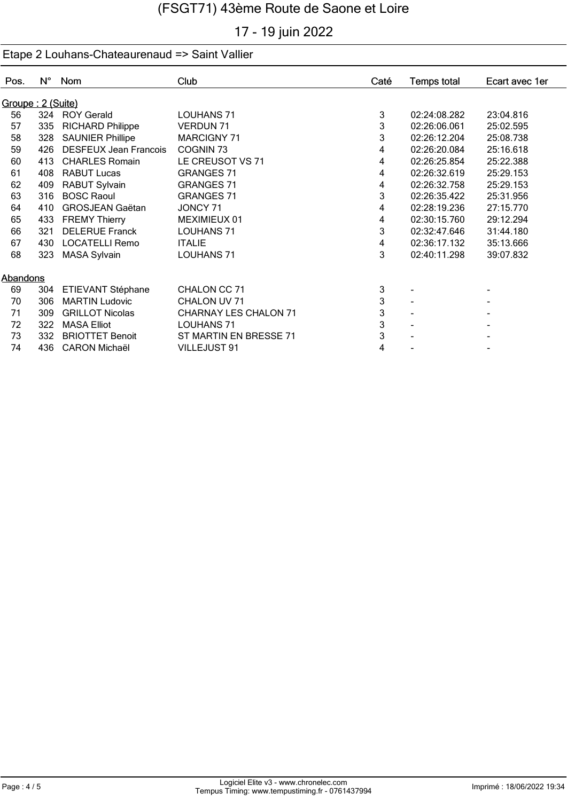# 17 - 19 juin 2022

| Pos.              | $N^{\circ}$ | Nom                          | Club                   | Caté | <b>Temps total</b> | Ecart avec 1er |
|-------------------|-------------|------------------------------|------------------------|------|--------------------|----------------|
| Groupe: 2 (Suite) |             |                              |                        |      |                    |                |
| 56                |             | 324 ROY Gerald               | <b>LOUHANS 71</b>      | 3    | 02:24:08.282       | 23:04.816      |
| 57                | 335         | <b>RICHARD Philippe</b>      | <b>VERDUN 71</b>       | 3    | 02:26:06.061       | 25:02.595      |
| 58                | 328         | <b>SAUNIER Phillipe</b>      | <b>MARCIGNY 71</b>     | 3    | 02:26:12.204       | 25:08.738      |
| 59                | 426         | <b>DESFEUX Jean Francois</b> | COGNIN <sub>73</sub>   | 4    | 02:26:20.084       | 25:16.618      |
| 60                | 413         | <b>CHARLES Romain</b>        | LE CREUSOT VS 71       | 4    | 02:26:25.854       | 25:22.388      |
| 61                | 408         | <b>RABUT Lucas</b>           | <b>GRANGES 71</b>      | 4    | 02:26:32.619       | 25:29.153      |
| 62                | 409         | <b>RABUT Sylvain</b>         | <b>GRANGES 71</b>      | 4    | 02:26:32.758       | 25:29.153      |
| 63                | 316         | <b>BOSC Raoul</b>            | <b>GRANGES 71</b>      | 3    | 02:26:35.422       | 25:31.956      |
| 64                | 410         | <b>GROSJEAN Gaëtan</b>       | JONCY 71               | 4    | 02:28:19.236       | 27:15.770      |
| 65                | 433         | <b>FREMY Thierry</b>         | MEXIMIEUX 01           | 4    | 02:30:15.760       | 29:12.294      |
| 66                | 321         | <b>DELERUE Franck</b>        | <b>LOUHANS 71</b>      | 3    | 02:32:47.646       | 31:44.180      |
| 67                | 430         | <b>LOCATELLI Remo</b>        | <b>ITALIE</b>          | 4    | 02:36:17.132       | 35:13.666      |
| 68                | 323         | <b>MASA Sylvain</b>          | <b>LOUHANS 71</b>      | 3    | 02:40:11.298       | 39:07.832      |
| Abandons          |             |                              |                        |      |                    |                |
| 69                | 304         | ETIEVANT Stéphane            | CHALON CC 71           | 3    |                    |                |
| 70                | 306         | <b>MARTIN Ludovic</b>        | CHALON UV 71           | 3    |                    |                |
| 71                | 309         | <b>GRILLOT Nicolas</b>       | CHARNAY LES CHALON 71  | 3    |                    |                |
| 72                | 322         | <b>MASA Elliot</b>           | <b>LOUHANS 71</b>      | 3    |                    |                |
| 73                | 332         | <b>BRIOTTET Benoit</b>       | ST MARTIN EN BRESSE 71 | 3    |                    |                |
| 74                | 436         | <b>CARON Michaël</b>         | VILLEJUST 91           | 4    |                    |                |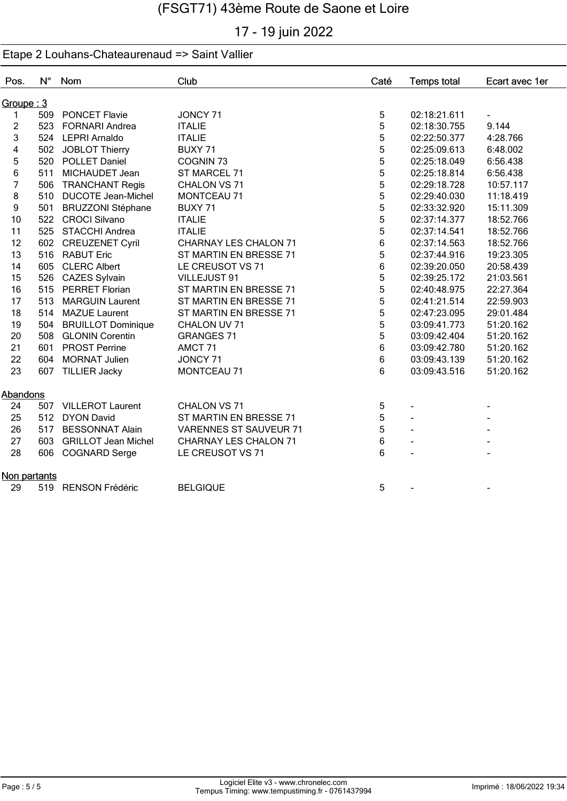# 17 - 19 juin 2022

| Pos.           | $N^{\circ}$ | Nom                        | Club                          | Caté | <b>Temps total</b> | Ecart avec 1er |
|----------------|-------------|----------------------------|-------------------------------|------|--------------------|----------------|
| Groupe:3       |             |                            |                               |      |                    |                |
| 1              |             | 509 PONCET Flavie          | JONCY 71                      | 5    | 02:18:21.611       | $\blacksquare$ |
| $\overline{c}$ | 523         | <b>FORNARI Andrea</b>      | <b>ITALIE</b>                 | 5    | 02:18:30.755       | 9.144          |
| 3              |             | 524 LEPRI Arnaldo          | <b>ITALIE</b>                 | 5    | 02:22:50.377       | 4:28.766       |
| 4              |             | 502 JOBLOT Thierry         | BUXY 71                       | 5    | 02:25:09.613       | 6:48.002       |
| 5              |             | 520 POLLET Daniel          | COGNIN <sub>73</sub>          | 5    | 02:25:18.049       | 6:56.438       |
| 6              | 511         | MICHAUDET Jean             | ST MARCEL 71                  | 5    | 02:25:18.814       | 6:56.438       |
| 7              | 506         | <b>TRANCHANT Regis</b>     | CHALON VS 71                  | 5    | 02:29:18.728       | 10:57.117      |
| 8              | 510         | <b>DUCOTE Jean-Michel</b>  | MONTCEAU 71                   | 5    | 02:29:40.030       | 11:18.419      |
| 9              | 501         | <b>BRUZZONI Stéphane</b>   | BUXY 71                       | 5    | 02:33:32.920       | 15:11.309      |
| 10             |             | 522 CROCI Silvano          | <b>ITALIE</b>                 | 5    | 02:37:14.377       | 18:52.766      |
| 11             |             | 525 STACCHI Andrea         | <b>ITALIE</b>                 | 5    | 02:37:14.541       | 18:52.766      |
| 12             | 602         | <b>CREUZENET Cyril</b>     | <b>CHARNAY LES CHALON 71</b>  | 6    | 02:37:14.563       | 18:52.766      |
| 13             | 516         | <b>RABUT Eric</b>          | ST MARTIN EN BRESSE 71        | 5    | 02:37:44.916       | 19:23.305      |
| 14             | 605         | <b>CLERC Albert</b>        | LE CREUSOT VS 71              | 6    | 02:39:20.050       | 20:58.439      |
| 15             |             | 526 CAZES Sylvain          | VILLEJUST 91                  | 5    | 02:39:25.172       | 21:03.561      |
| 16             | 515         | <b>PERRET Florian</b>      | ST MARTIN EN BRESSE 71        | 5    | 02:40:48.975       | 22:27.364      |
| 17             | 513         | <b>MARGUIN Laurent</b>     | ST MARTIN EN BRESSE 71        | 5    | 02:41:21.514       | 22:59.903      |
| 18             |             | 514 MAZUE Laurent          | ST MARTIN EN BRESSE 71        | 5    | 02:47:23.095       | 29:01.484      |
| 19             | 504         | <b>BRUILLOT Dominique</b>  | CHALON UV 71                  | 5    | 03:09:41.773       | 51:20.162      |
| 20             | 508         | <b>GLONIN Corentin</b>     | <b>GRANGES 71</b>             | 5    | 03:09:42.404       | 51:20.162      |
| 21             | 601         | <b>PROST Perrine</b>       | AMCT 71                       | 6    | 03:09:42.780       | 51:20.162      |
| 22             | 604         | <b>MORNAT Julien</b>       | JONCY 71                      | 6    | 03:09:43.139       | 51:20.162      |
| 23             |             | 607 TILLIER Jacky          | MONTCEAU 71                   | 6    | 03:09:43.516       | 51:20.162      |
| Abandons       |             |                            |                               |      |                    |                |
| 24             |             | 507 VILLEROT Laurent       | <b>CHALON VS 71</b>           | 5    |                    |                |
| 25             |             | 512 DYON David             | ST MARTIN EN BRESSE 71        | 5    |                    |                |
| 26             | 517         | <b>BESSONNAT Alain</b>     | <b>VARENNES ST SAUVEUR 71</b> | 5    |                    |                |
| 27             | 603         | <b>GRILLOT Jean Michel</b> | <b>CHARNAY LES CHALON 71</b>  | 6    |                    |                |
| 28             |             | 606 COGNARD Serge          | LE CREUSOT VS 71              | 6    |                    |                |
| Non partants   |             |                            |                               |      |                    |                |
| 29             |             | 519 RENSON Frédéric        | <b>BELGIQUE</b>               | 5    |                    |                |
|                |             |                            |                               |      |                    |                |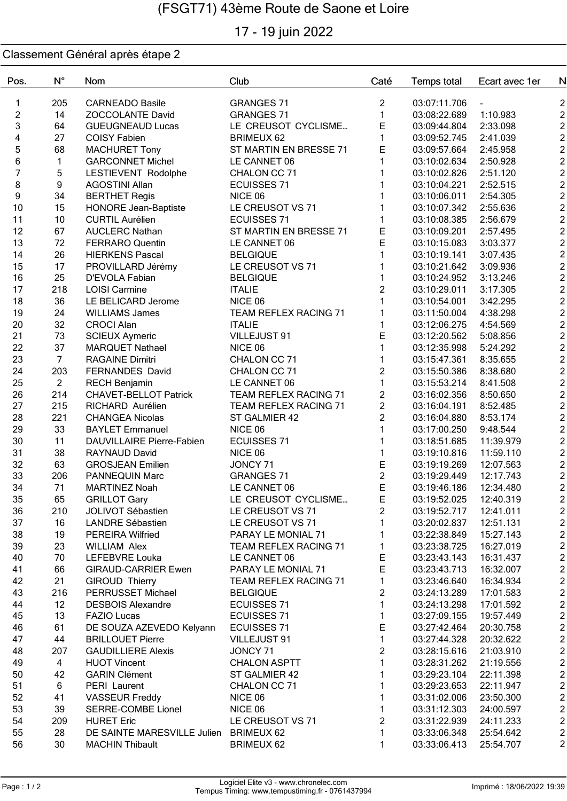# 17 - 19 juin 2022

| Pos.                    | $N^{\circ}$      | <b>Nom</b>                   | Club                          | Caté                | <b>Temps total</b> | Ecart avec 1er         | N                                |
|-------------------------|------------------|------------------------------|-------------------------------|---------------------|--------------------|------------------------|----------------------------------|
| 1                       | 205              | <b>CARNEADO Basile</b>       | <b>GRANGES 71</b>             | $\overline{c}$      | 03:07:11.706       |                        | $\overline{c}$                   |
| $\overline{2}$          | 14               | ZOCCOLANTE David             | <b>GRANGES 71</b>             | $\mathbf{1}$        | 03:08:22.689       | 1:10.983               | $\overline{2}$                   |
| 3                       | 64               | <b>GUEUGNEAUD Lucas</b>      | LE CREUSOT CYCLISME           | E                   | 03:09:44.804       | 2:33.098               | $\overline{2}$                   |
| $\overline{\mathbf{4}}$ | 27               | <b>COISY Fabien</b>          | <b>BRIMEUX 62</b>             | $\mathbf{1}$        | 03:09:52.745       | 2:41.039               | $\overline{2}$                   |
| 5                       | 68               | <b>MACHURET Tony</b>         | ST MARTIN EN BRESSE 71        | Е                   | 03:09:57.664       | 2:45.958               | $\overline{2}$                   |
| 6                       | 1                | <b>GARCONNET Michel</b>      | LE CANNET 06                  | 1                   | 03:10:02.634       | 2:50.928               | $\overline{c}$                   |
| $\overline{7}$          | 5                | LESTIEVENT Rodolphe          | CHALON CC 71                  |                     | 03:10:02.826       | 2:51.120               | $\overline{c}$                   |
| 8                       | $\boldsymbol{9}$ | <b>AGOSTINI Allan</b>        | <b>ECUISSES 71</b>            |                     | 03:10:04.221       | 2:52.515               | $\overline{c}$                   |
| 9                       | 34               | <b>BERTHET Regis</b>         | NICE 06                       |                     | 03:10:06.011       | 2:54.305               | $\overline{c}$                   |
| 10                      | 15               | <b>HONORE Jean-Baptiste</b>  | LE CREUSOT VS 71              |                     | 03:10:07.342       | 2:55.636               | $\overline{2}$                   |
| 11                      | 10               | <b>CURTIL Aurélien</b>       | <b>ECUISSES 71</b>            | 1                   | 03:10:08.385       | 2:56.679               | $\overline{2}$                   |
| 12                      | 67               | <b>AUCLERC Nathan</b>        | ST MARTIN EN BRESSE 71        | Е                   | 03:10:09.201       | 2:57.495               | $\overline{c}$                   |
| 13                      | 72               | <b>FERRARO Quentin</b>       | LE CANNET 06                  | E                   | 03:10:15.083       | 3:03.377               | $\overline{2}$                   |
| 14                      | 26               | <b>HIERKENS Pascal</b>       | <b>BELGIQUE</b>               | 1                   | 03:10:19.141       | 3:07.435               | $\overline{c}$                   |
| 15                      | 17               | PROVILLARD Jérémy            | LE CREUSOT VS 71              | 1                   | 03:10:21.642       | 3:09.936               | $\boldsymbol{2}$                 |
| 16                      | 25               | D'EVOLA Fabian               | <b>BELGIQUE</b>               | 1                   | 03:10:24.952       | 3:13.246               | $\boldsymbol{2}$                 |
| 17                      | 218              | <b>LOISI Carmine</b>         | <b>ITALIE</b>                 | $\overline{c}$      | 03:10:29.011       | 3:17.305               | $\boldsymbol{2}$                 |
| 18                      | 36               | LE BELICARD Jerome           | NICE 06                       | 1                   | 03:10:54.001       | 3:42.295               | $\boldsymbol{2}$                 |
| 19                      | 24               | <b>WILLIAMS James</b>        | TEAM REFLEX RACING 71         | 1                   | 03:11:50.004       | 4:38.298               | $\boldsymbol{2}$                 |
| 20                      | 32               | <b>CROCI Alan</b>            | <b>ITALIE</b>                 | 1                   | 03:12:06.275       | 4:54.569               | $\overline{2}$                   |
| 21                      | 73               | <b>SCIEUX Aymeric</b>        | VILLEJUST 91                  | E                   | 03:12:20.562       | 5:08.856               | $\overline{2}$                   |
| 22                      | 37               | <b>MARQUET Nathael</b>       | NICE 06                       | 1                   | 03:12:35.998       | 5:24.292               | $\overline{2}$                   |
| 23                      | $\overline{7}$   | <b>RAGAINE Dimitri</b>       | CHALON CC 71                  | 1                   | 03:15:47.361       | 8:35.655               | $\boldsymbol{2}$                 |
| 24                      | 203              | FERNANDES David              | CHALON CC 71                  | $\overline{c}$      | 03:15:50.386       | 8:38.680               | $\overline{c}$                   |
| 25                      | $\overline{2}$   | <b>RECH Benjamin</b>         | LE CANNET 06                  | 1                   | 03:15:53.214       | 8:41.508               | $\overline{2}$                   |
| 26                      | 214              | <b>CHAVET-BELLOT Patrick</b> | TEAM REFLEX RACING 71         | $\overline{c}$      | 03:16:02.356       | 8:50.650               | $\overline{2}$                   |
| 27                      | 215              | RICHARD Aurélien             | TEAM REFLEX RACING 71         | $\overline{c}$      | 03:16:04.191       | 8:52.485               | $\overline{2}$                   |
| 28                      | 221              | <b>CHANGEA Nicolas</b>       | ST GALMIER 42                 | $\overline{c}$      | 03:16:04.880       | 8:53.174               | $\overline{2}$                   |
| 29                      |                  |                              | NICE 06                       |                     |                    |                        | $\overline{2}$                   |
| 30                      | 33<br>11         | <b>BAYLET Emmanuel</b>       |                               | 1<br>1              | 03:17:00.250       | 9:48.544<br>11:39.979  | $\overline{2}$                   |
| 31                      | 38               | DAUVILLAIRE Pierre-Fabien    | <b>ECUISSES 71</b><br>NICE 06 |                     | 03:18:51.685       |                        | $\overline{c}$                   |
|                         | 63               | RAYNAUD David                |                               | 1                   | 03:19:10.816       | 11:59.110<br>12:07.563 | $\overline{2}$                   |
| 32                      |                  | <b>GROSJEAN Emilien</b>      | JONCY 71                      | Ε                   | 03:19:19.269       |                        |                                  |
| 33                      | 206<br>71        | <b>PANNEQUIN Marc</b>        | <b>GRANGES 71</b>             | $\overline{c}$<br>E | 03:19:29.449       | 12:17.743              | $\overline{2}$<br>$\overline{2}$ |
| 34                      |                  | <b>MARTINEZ Noah</b>         | LE CANNET 06                  | E                   | 03:19:46.186       | 12:34.480              | $\mathfrak{p}$                   |
| 35                      | 65               | <b>GRILLOT Gary</b>          | LE CREUSOT CYCLISME           |                     | 03:19:52.025       | 12:40.319              |                                  |
| 36                      | 210              | JOLIVOT Sébastien            | LE CREUSOT VS 71              | 2                   | 03:19:52.717       | 12:41.011              | $\overline{c}$                   |
| 37                      | 16               | <b>LANDRE Sébastien</b>      | LE CREUSOT VS 71              | 1                   | 03:20:02.837       | 12:51.131              | $\boldsymbol{2}$                 |
| 38                      | 19               | <b>PEREIRA Wilfried</b>      | PARAY LE MONIAL 71            | 1                   | 03:22:38.849       | 15:27.143              | $\boldsymbol{2}$                 |
| 39                      | 23               | <b>WILLIAM Alex</b>          | TEAM REFLEX RACING 71         | $\mathbf{1}$        | 03:23:38.725       | 16:27.019              | $\boldsymbol{2}$                 |
| 40                      | 70               | LEFEBVRE Louka               | LE CANNET 06                  | Е                   | 03:23:43.143       | 16:31.437              | $\boldsymbol{2}$                 |
| 41                      | 66               | <b>GIRAUD-CARRIER Ewen</b>   | PARAY LE MONIAL 71            | Е                   | 03:23:43.713       | 16:32.007              | $\boldsymbol{2}$                 |
| 42                      | 21               | <b>GIROUD Thierry</b>        | TEAM REFLEX RACING 71         | 1                   | 03:23:46.640       | 16:34.934              | $\overline{c}$                   |
| 43                      | 216              | PERRUSSET Michael            | <b>BELGIQUE</b>               | $\overline{c}$      | 03:24:13.289       | 17:01.583              | $\overline{c}$                   |
| 44                      | 12               | <b>DESBOIS Alexandre</b>     | <b>ECUISSES 71</b>            | 1                   | 03:24:13.298       | 17:01.592              | $\overline{c}$                   |
| 45                      | 13               | <b>FAZIO Lucas</b>           | <b>ECUISSES 71</b>            | 1                   | 03:27:09.155       | 19:57.449              | $\overline{2}$                   |
| 46                      | 61               | DE SOUZA AZEVEDO Kelyann     | <b>ECUISSES 71</b>            | $\mathsf E$         | 03:27:42.464       | 20:30.758              | $\overline{c}$                   |
| 47                      | 44               | <b>BRILLOUET Pierre</b>      | VILLEJUST 91                  | $\mathbf{1}$        | 03:27:44.328       | 20:32.622              | $\overline{c}$                   |
| 48                      | 207              | <b>GAUDILLIERE Alexis</b>    | JONCY 71                      | $\overline{c}$      | 03:28:15.616       | 21:03.910              | $\boldsymbol{2}$                 |
| 49                      | 4                | <b>HUOT Vincent</b>          | <b>CHALON ASPTT</b>           | $\mathbf{1}$        | 03:28:31.262       | 21:19.556              | $\boldsymbol{2}$                 |
| 50                      | 42               | <b>GARIN Clément</b>         | ST GALMIER 42                 | $\mathbf{1}$        | 03:29:23.104       | 22:11.398              | $\overline{c}$                   |
| 51                      | $\,6$            | PERI Laurent                 | CHALON CC 71                  | 1                   | 03:29:23.653       | 22:11.947              | $\overline{c}$                   |
| 52                      | 41               | <b>VASSEUR Freddy</b>        | NICE 06                       | $\mathbf{1}$        | 03:31:02.006       | 23:50.300              | $\overline{c}$                   |
| 53                      | 39               | SERRE-COMBE Lionel           | NICE 06                       | $\mathbf{1}$        | 03:31:12.303       | 24:00.597              | $\boldsymbol{2}$                 |
| 54                      | 209              | <b>HURET Eric</b>            | LE CREUSOT VS 71              | $\overline{c}$      | 03:31:22.939       | 24:11.233              | $\overline{c}$                   |
| 55                      | 28               | DE SAINTE MARESVILLE Julien  | <b>BRIMEUX 62</b>             | 1                   | 03:33:06.348       | 25:54.642              | $\overline{c}$                   |
| 56                      | 30               | <b>MACHIN Thibault</b>       | BRIMEUX 62                    | 1                   | 03:33:06.413       | 25:54.707              | $\boldsymbol{2}$                 |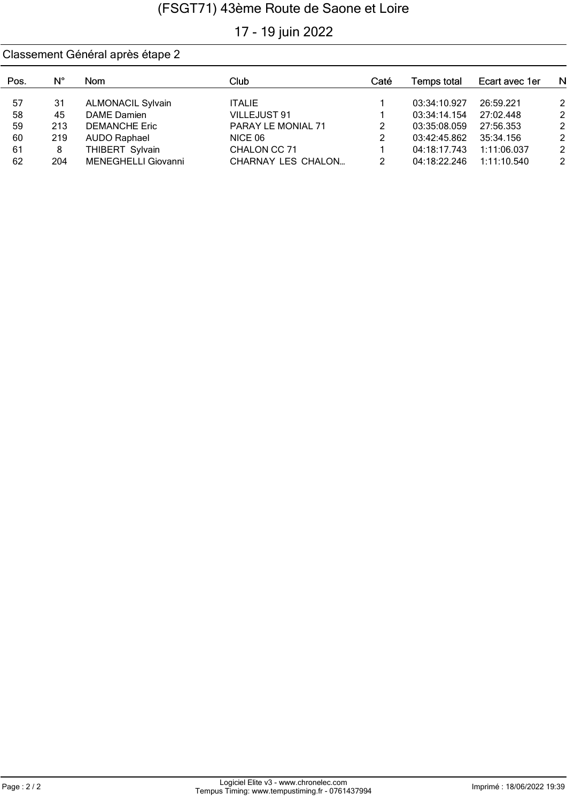# 17 - 19 juin 2022

| Pos. | N°  | Nom                      | Club                      | Caté | Temps total  | Ecart avec 1er | N              |
|------|-----|--------------------------|---------------------------|------|--------------|----------------|----------------|
| 57   | 31  | <b>ALMONACIL Sylvain</b> | <b>ITALIE</b>             |      | 03:34:10.927 | 26:59.221      | $\overline{2}$ |
| 58   | 45  | DAME Damien              | VILLEJUST 91              |      | 03:34:14.154 | 27:02.448      | $\overline{2}$ |
| 59   | 213 | <b>DEMANCHE Eric</b>     | PARAY LE MONIAL 71        | 2    | 03:35:08.059 | 27:56.353      | $\overline{2}$ |
| 60   | 219 | <b>AUDO Raphael</b>      | NICE 06                   | 2    | 03:42:45.862 | 35:34.156      | $\overline{2}$ |
| 61   | 8   | THIBERT Sylvain          | CHALON CC 71              |      | 04:18:17.743 | 1:11:06.037    | $\overline{2}$ |
| 62   | 204 | MENEGHELLI Giovanni      | <b>CHARNAY LES CHALON</b> | 2    | 04:18:22.246 | 1:11:10.540    | $\overline{2}$ |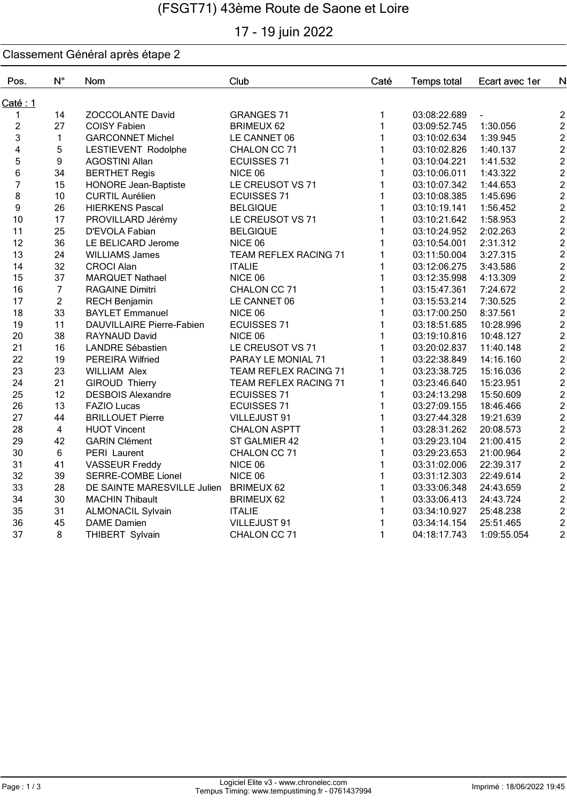# 17 - 19 juin 2022

| Pos.           | $N^{\circ}$    | Nom                         | Club                  | Caté         | <b>Temps total</b> | Ecart avec 1er | N                                          |
|----------------|----------------|-----------------------------|-----------------------|--------------|--------------------|----------------|--------------------------------------------|
| Caté: 1        |                |                             |                       |              |                    |                |                                            |
| 1              | 14             | <b>ZOCCOLANTE David</b>     | <b>GRANGES 71</b>     | 1            | 03:08:22.689       |                | $\overline{c}$                             |
| $\overline{c}$ | 27             | <b>COISY Fabien</b>         | <b>BRIMEUX 62</b>     | 1            | 03:09:52.745       | 1:30.056       | $\overline{2}$                             |
| 3              | $\mathbf{1}$   | <b>GARCONNET Michel</b>     | LE CANNET 06          | $\mathbf{1}$ | 03:10:02.634       | 1:39.945       | $\overline{c}$                             |
| 4              | 5              | LESTIEVENT Rodolphe         | CHALON CC 71          | 1            | 03:10:02.826       | 1:40.137       | $\overline{\mathbf{c}}$                    |
| 5              | 9              | <b>AGOSTINI Allan</b>       | <b>ECUISSES 71</b>    | $\mathbf{1}$ | 03:10:04.221       | 1:41.532       | $\overline{2}$                             |
| 6              | 34             | <b>BERTHET Regis</b>        | NICE 06               | $\mathbf{1}$ | 03:10:06.011       | 1:43.322       | $\frac{2}{2}$                              |
| $\overline{7}$ | 15             | <b>HONORE Jean-Baptiste</b> | LE CREUSOT VS 71      | $\mathbf{1}$ | 03:10:07.342       | 1:44.653       |                                            |
| 8              | 10             | <b>CURTIL Aurélien</b>      | <b>ECUISSES 71</b>    | $\mathbf{1}$ | 03:10:08.385       | 1:45.696       | $\overline{2}$                             |
| 9              | 26             | <b>HIERKENS Pascal</b>      | <b>BELGIQUE</b>       | $\mathbf{1}$ | 03:10:19.141       | 1:56.452       |                                            |
| 10             | 17             | PROVILLARD Jérémy           | LE CREUSOT VS 71      | 1            | 03:10:21.642       | 1:58.953       | $\begin{array}{c} 2 \\ 2 \\ 2 \end{array}$ |
| 11             | 25             | D'EVOLA Fabian              | <b>BELGIQUE</b>       | $\mathbf{1}$ | 03:10:24.952       | 2:02.263       |                                            |
| 12             | 36             | LE BELICARD Jerome          | NICE 06               | 1            | 03:10:54.001       | 2:31.312       |                                            |
| 13             | 24             | <b>WILLIAMS James</b>       | TEAM REFLEX RACING 71 | 1            | 03:11:50.004       | 3:27.315       | $\begin{array}{c} 2 \\ 2 \\ 2 \end{array}$ |
| 14             | 32             | <b>CROCI Alan</b>           | <b>ITALIE</b>         | $\mathbf{1}$ | 03:12:06.275       | 3:43.586       |                                            |
| 15             | 37             | MARQUET Nathael             | NICE 06               | $\mathbf{1}$ | 03:12:35.998       | 4:13.309       | $\mathbf{2}$                               |
| 16             | $\overline{7}$ | <b>RAGAINE Dimitri</b>      | CHALON CC 71          | $\mathbf{1}$ | 03:15:47.361       | 7:24.672       | $\overline{c}$                             |
| 17             | $\overline{2}$ | <b>RECH Benjamin</b>        | LE CANNET 06          | 1            | 03:15:53.214       | 7:30.525       | $\overline{c}$                             |
| 18             | 33             | <b>BAYLET Emmanuel</b>      | NICE 06               | $\mathbf{1}$ | 03:17:00.250       | 8:37.561       | $\overline{2}$                             |
| 19             | 11             | DAUVILLAIRE Pierre-Fabien   | <b>ECUISSES 71</b>    | $\mathbf{1}$ | 03:18:51.685       | 10:28.996      | $\overline{2}$                             |
| 20             | 38             | RAYNAUD David               | NICE 06               | $\mathbf{1}$ | 03:19:10.816       | 10:48.127      | $\overline{a}$                             |
| 21             | 16             | <b>LANDRE Sébastien</b>     | LE CREUSOT VS 71      | $\mathbf{1}$ | 03:20:02.837       | 11:40.148      | $\overline{2}$                             |
| 22             | 19             | <b>PEREIRA Wilfried</b>     | PARAY LE MONIAL 71    | $\mathbf{1}$ | 03:22:38.849       | 14:16.160      |                                            |
| 23             | 23             | <b>WILLIAM Alex</b>         | TEAM REFLEX RACING 71 | $\mathbf{1}$ | 03:23:38.725       | 15:16.036      | $\begin{array}{c} 2 \\ 2 \\ 2 \end{array}$ |
| 24             | 21             | <b>GIROUD Thierry</b>       | TEAM REFLEX RACING 71 | $\mathbf{1}$ | 03:23:46.640       | 15:23.951      |                                            |
| 25             | 12             | <b>DESBOIS Alexandre</b>    | <b>ECUISSES 71</b>    | 1            | 03:24:13.298       | 15:50.609      |                                            |
| 26             | 13             | <b>FAZIO Lucas</b>          | <b>ECUISSES 71</b>    | $\mathbf{1}$ | 03:27:09.155       | 18:46.466      |                                            |
| 27             | 44             | <b>BRILLOUET Pierre</b>     | VILLEJUST 91          | 1            | 03:27:44.328       | 19:21.639      | $\begin{array}{c} 2 \\ 2 \\ 2 \end{array}$ |
| 28             | $\overline{4}$ | <b>HUOT Vincent</b>         | <b>CHALON ASPTT</b>   | $\mathbf{1}$ | 03:28:31.262       | 20:08.573      | $\overline{c}$                             |
| 29             | 42             | <b>GARIN Clément</b>        | ST GALMIER 42         | $\mathbf{1}$ | 03:29:23.104       | 21:00.415      | $\overline{c}$                             |
| 30             | 6              | PERI Laurent                | CHALON CC 71          | $\mathbf{1}$ | 03:29:23.653       | 21:00.964      |                                            |
| 31             | 41             | <b>VASSEUR Freddy</b>       | NICE 06               | $\mathbf{1}$ | 03:31:02.006       | 22:39.317      | $\frac{2}{2}$                              |
| 32             | 39             | <b>SERRE-COMBE Lionel</b>   | NICE 06               | $\mathbf{1}$ | 03:31:12.303       | 22:49.614      |                                            |
| 33             | 28             | DE SAINTE MARESVILLE Julien | <b>BRIMEUX 62</b>     | $\mathbf{1}$ | 03:33:06.348       | 24:43.659      | $\frac{2}{2}$                              |
| 34             | 30             | <b>MACHIN Thibault</b>      | <b>BRIMEUX 62</b>     | $\mathbf{1}$ | 03:33:06.413       | 24:43.724      | $\overline{2}$                             |
| 35             | 31             | <b>ALMONACIL Sylvain</b>    | <b>ITALIE</b>         | $\mathbf{1}$ | 03:34:10.927       | 25:48.238      | $\overline{c}$                             |
| 36             | 45             | <b>DAME</b> Damien          | VILLEJUST 91          | $\mathbf{1}$ | 03:34:14.154       | 25:51.465      | $\overline{\mathbf{c}}$                    |
| 37             | 8              | THIBERT Sylvain             | CHALON CC 71          | $\mathbf{1}$ | 04:18:17.743       | 1:09:55.054    | $\overline{2}$                             |
|                |                |                             |                       |              |                    |                |                                            |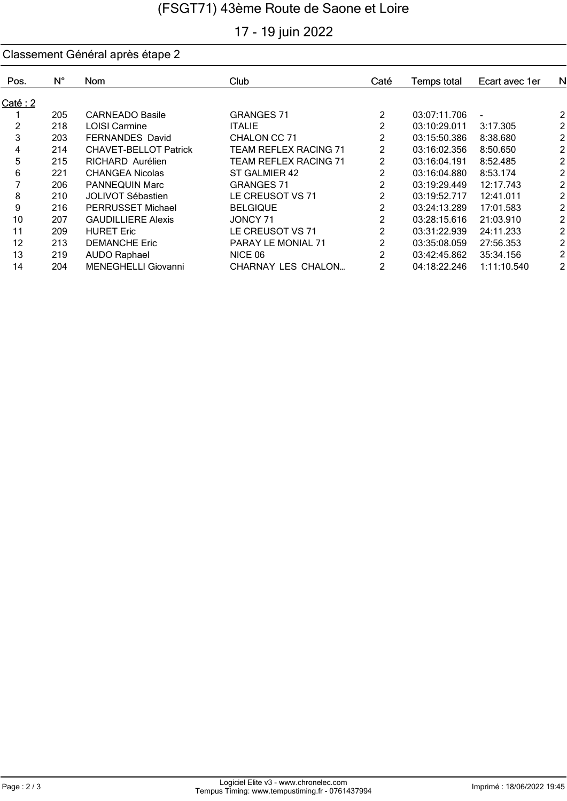# 17 - 19 juin 2022

| Pos.    | $N^{\circ}$ | Nom.                         | Club                         | Caté           | <b>Temps total</b> | Ecart avec 1er | N              |
|---------|-------------|------------------------------|------------------------------|----------------|--------------------|----------------|----------------|
|         |             |                              |                              |                |                    |                |                |
| Caté: 2 |             |                              |                              |                |                    |                |                |
|         | 205         | <b>CARNEADO Basile</b>       | <b>GRANGES 71</b>            | 2              | 03:07:11.706       |                | $\overline{a}$ |
| 2       | 218         | <b>LOISI Carmine</b>         | <b>ITALIE</b>                | 2              | 03:10:29.011       | 3:17.305       | $\overline{a}$ |
| 3       | 203         | <b>FERNANDES David</b>       | CHALON CC 71                 | 2              | 03:15:50.386       | 8:38.680       | $\overline{a}$ |
| 4       | 214         | <b>CHAVET-BELLOT Patrick</b> | <b>TEAM REFLEX RACING 71</b> | 2              | 03:16:02.356       | 8:50.650       | $\overline{2}$ |
| 5       | 215         | RICHARD Aurélien             | TEAM REFLEX RACING 71        | $\overline{2}$ | 03:16:04.191       | 8:52.485       | $\overline{a}$ |
| 6       | 221         | <b>CHANGEA Nicolas</b>       | ST GALMIER 42                | 2              | 03:16:04.880       | 8:53.174       | $\overline{2}$ |
|         | 206         | <b>PANNEQUIN Marc</b>        | <b>GRANGES 71</b>            | 2              | 03:19:29.449       | 12:17.743      | $\overline{2}$ |
| 8       | 210         | <b>JOLIVOT Sébastien</b>     | LE CREUSOT VS 71             | $\overline{2}$ | 03:19:52.717       | 12:41.011      | $\overline{2}$ |
| 9       | 216         | <b>PERRUSSET Michael</b>     | <b>BELGIQUE</b>              | $\overline{2}$ | 03:24:13.289       | 17:01.583      | $\overline{a}$ |
| 10      | 207         | <b>GAUDILLIERE Alexis</b>    | JONCY 71                     | $\overline{2}$ | 03:28:15.616       | 21:03.910      | $\overline{a}$ |
| 11      | 209         | <b>HURET Eric</b>            | LE CREUSOT VS 71             | $\overline{2}$ | 03:31:22.939       | 24:11.233      | $\overline{a}$ |
| 12      | 213         | <b>DEMANCHE Eric</b>         | PARAY LE MONIAL 71           | 2              | 03:35:08.059       | 27:56.353      | $\overline{a}$ |
| 13      | 219         | <b>AUDO Raphael</b>          | NICE 06                      | 2              | 03:42:45.862       | 35:34.156      | $\overline{a}$ |
| 14      | 204         | MENEGHELLI Giovanni          | CHARNAY LES CHALON           | 2              | 04:18:22.246       | 1:11:10.540    | $\overline{a}$ |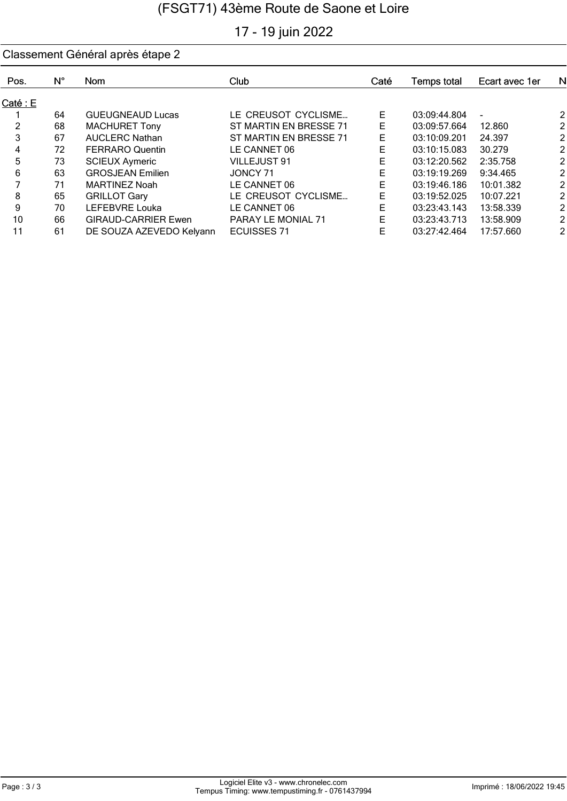# 17 - 19 juin 2022

| Pos.     | N° | <b>Nom</b>                 | Club                      | Caté | <b>Temps total</b> | Ecart avec 1er | N              |
|----------|----|----------------------------|---------------------------|------|--------------------|----------------|----------------|
| Caté : E |    |                            |                           |      |                    |                |                |
|          | 64 | <b>GUEUGNEAUD Lucas</b>    | LE CREUSOT CYCLISME       | Е    | 03:09:44.804       |                | 21             |
| 2        | 68 | <b>MACHURET Tony</b>       | ST MARTIN EN BRESSE 71    | Е    | 03:09:57.664       | 12.860         | 21             |
| 3        | 67 | <b>AUCLERC Nathan</b>      | ST MARTIN EN BRESSE 71    | Е    | 03:10:09.201       | 24.397         | 21             |
| 4        | 72 | <b>FERRARO Quentin</b>     | LE CANNET 06              | Е    | 03:10:15.083       | 30.279         | 21             |
| 5        | 73 | <b>SCIEUX Aymeric</b>      | <b>VILLEJUST 91</b>       | Е    | 03:12:20.562       | 2:35.758       | 21             |
| 6        | 63 | <b>GROSJEAN Emilien</b>    | JONCY 71                  | Е    | 03:19:19.269       | 9:34.465       | $\overline{2}$ |
|          | 71 | <b>MARTINEZ Noah</b>       | LE CANNET 06              | Е    | 03:19:46.186       | 10:01.382      | 21             |
| 8        | 65 | <b>GRILLOT Gary</b>        | LE CREUSOT CYCLISME       | Е    | 03:19:52.025       | 10:07.221      | $\overline{2}$ |
| 9        | 70 | LEFEBVRE Louka             | LE CANNET 06              | Е    | 03:23:43.143       | 13:58.339      | 21             |
| 10       | 66 | <b>GIRAUD-CARRIER Ewen</b> | <b>PARAY LE MONIAL 71</b> | E    | 03:23:43.713       | 13:58.909      | 21             |
| 11       | 61 | DE SOUZA AZEVEDO Kelyann   | <b>ECUISSES 71</b>        | Е    | 03:27:42.464       | 17:57.660      | 2 <sub>l</sub> |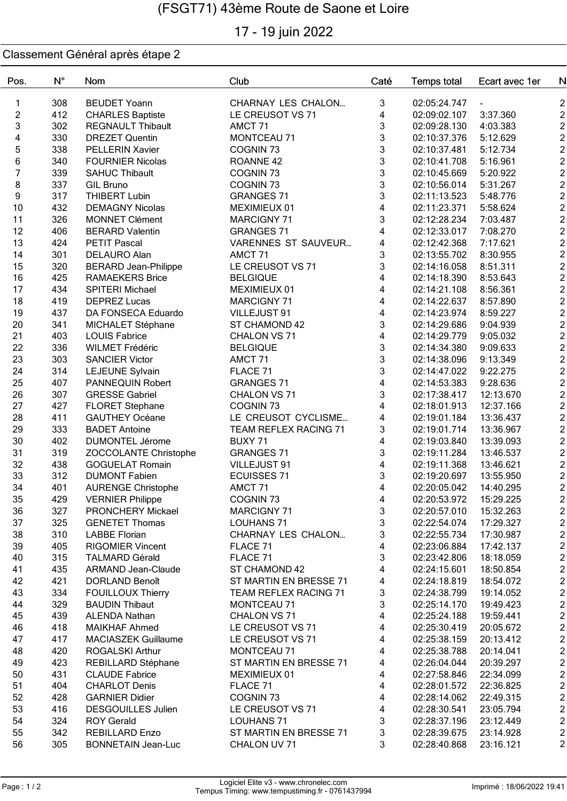# 17 - 19 juin 2022

| Pos.             | $N^{\circ}$ | Nom                         | Club                         | Caté                      | <b>Temps total</b> | Ecart avec 1er | N                             |
|------------------|-------------|-----------------------------|------------------------------|---------------------------|--------------------|----------------|-------------------------------|
| 1                | 308         | <b>BEUDET Yoann</b>         | <b>CHARNAY LES CHALON</b>    | 3                         | 02:05:24.747       |                |                               |
| $\boldsymbol{2}$ | 412         | <b>CHARLES Baptiste</b>     | LE CREUSOT VS 71             | 4                         | 02:09:02.107       | 3:37.360       |                               |
| 3                | 302         | <b>REGNAULT Thibault</b>    | AMCT <sub>71</sub>           | 3                         | 02:09:28.130       | 4:03.383       | 2 2 2 2 2 2 2 2 2 2 2 2 2     |
| 4                | 330         | <b>DREZET Quentin</b>       | <b>MONTCEAU 71</b>           | 3                         | 02:10:37.376       | 5:12.629       |                               |
| 5                | 338         | PELLERIN Xavier             | COGNIN <sub>73</sub>         | 3                         | 02:10:37.481       | 5:12.734       |                               |
| $\,$ 6 $\,$      | 340         | <b>FOURNIER Nicolas</b>     | ROANNE <sub>42</sub>         | 3                         | 02:10:41.708       | 5:16.961       |                               |
| 7                | 339         | <b>SAHUC Thibault</b>       | COGNIN <sub>73</sub>         | 3                         | 02:10:45.669       | 5:20.922       |                               |
| 8                | 337         | <b>GIL Bruno</b>            | COGNIN <sub>73</sub>         | 3                         | 02:10:56.014       | 5:31.267       |                               |
| 9                | 317         | <b>THIBERT Lubin</b>        | <b>GRANGES 71</b>            | 3                         | 02:11:13.523       | 5:48.776       |                               |
| 10               | 432         | <b>DEMAGNY Nicolas</b>      | MEXIMIEUX 01                 | 4                         | 02:11:23.371       | 5:58.624       |                               |
| 11               | 326         | <b>MONNET Clément</b>       | MARCIGNY 71                  | 3                         | 02:12:28.234       | 7:03.487       |                               |
| 12               | 406         | <b>BERARD Valentin</b>      | <b>GRANGES 71</b>            | 4                         | 02:12:33.017       | 7:08.270       |                               |
| 13               | 424         | <b>PETIT Pascal</b>         | VARENNES ST SAUVEUR          | 4                         | 02:12:42.368       | 7:17.621       |                               |
| 14               | 301         | DELAURO Alan                | AMCT 71                      | $\ensuremath{\mathsf{3}}$ | 02:13:55.702       | 8:30.955       |                               |
| 15               | 320         | <b>BERARD Jean-Philippe</b> | LE CREUSOT VS 71             | 3                         | 02:14:16.058       | 8:51.311       | $\overline{c}$                |
| 16               | 425         | <b>RAMAEKERS Brice</b>      | <b>BELGIQUE</b>              | 4                         | 02:14:18.390       | 8:53.643       |                               |
| 17               | 434         | SPITERI Michael             | MEXIMIEUX 01                 | 4                         | 02:14:21.108       | 8:56.361       | $\frac{2}{2}$                 |
| 18               | 419         | <b>DEPREZ Lucas</b>         | <b>MARCIGNY 71</b>           | 4                         | 02:14:22.637       | 8:57.890       |                               |
| 19               | 437         | DA FONSECA Eduardo          |                              | 4                         | 02:14:23.974       |                | 2 2 2 2 2 2 2 2 2 2 2 2 2 2 2 |
|                  | 341         |                             | VILLEJUST 91                 | $\sqrt{3}$                |                    | 8:59.227       |                               |
| 20               |             | MICHALET Stéphane           | ST CHAMOND 42                |                           | 02:14:29.686       | 9:04.939       |                               |
| 21               | 403         | <b>LOUIS Fabrice</b>        | CHALON VS 71                 | $\overline{\mathbf{4}}$   | 02:14:29.779       | 9:05.032       |                               |
| 22               | 336         | <b>WILMET Frédéric</b>      | <b>BELGIQUE</b>              | 3                         | 02:14:34.380       | 9:09.633       |                               |
| 23               | 303         | <b>SANCIER Victor</b>       | AMCT <sub>71</sub>           | 3                         | 02:14:38.096       | 9:13.349       |                               |
| 24               | 314         | LEJEUNE Sylvain             | FLACE 71                     | 3                         | 02:14:47.022       | 9:22.275       |                               |
| 25               | 407         | PANNEQUIN Robert            | <b>GRANGES 71</b>            | 4                         | 02:14:53.383       | 9:28.636       |                               |
| 26               | 307         | <b>GRESSE Gabriel</b>       | CHALON VS 71                 | 3                         | 02:17:38.417       | 12:13.670      |                               |
| 27               | 427         | <b>FLORET Stephane</b>      | COGNIN <sub>73</sub>         | 4                         | 02:18:01.913       | 12:37.166      |                               |
| 28               | 411         | <b>GAUTHEY Océane</b>       | LE CREUSOT CYCLISME          | 4                         | 02:19:01.184       | 13:36.437      |                               |
| 29               | 333         | <b>BADET Antoine</b>        | <b>TEAM REFLEX RACING 71</b> | 3                         | 02:19:01.714       | 13:36.967      |                               |
| 30               | 402         | <b>DUMONTEL Jérome</b>      | BUXY 71                      | 4                         | 02:19:03.840       | 13:39.093      |                               |
| 31               | 319         | ZOCCOLANTE Christophe       | <b>GRANGES 71</b>            | 3                         | 02:19:11.284       | 13:46.537      |                               |
| 32               | 438         | <b>GOGUELAT Romain</b>      | VILLEJUST 91                 | 4                         | 02:19:11.368       | 13:46.621      |                               |
| 33               | 312         | <b>DUMONT Fabien</b>        | <b>ECUISSES 71</b>           | 3                         | 02:19:20.697       | 13:55.950      | $\frac{2}{2}$                 |
| 34               | 401         | <b>AURENGE Christophe</b>   | AMCT <sub>71</sub>           | 4                         | 02:20:05.042       | 14:40.295      |                               |
| 35               | 429         | <b>VERNIER Philippe</b>     | COGNIN 73                    | 4                         | 02:20:53.972       | 15:29.225      | $\overline{2}$                |
| 36               | 327         | PRONCHERY Mickael           | <b>MARCIGNY 71</b>           | $\mathbf{3}$              | 02:20:57.010       | 15:32.263      | $\overline{\mathbf{c}}$       |
| 37               | 325         | <b>GENETET Thomas</b>       | <b>LOUHANS 71</b>            | 3                         | 02:22:54.074       | 17:29.327      | $\overline{c}$                |
| 38               | 310         | <b>LABBE Florian</b>        | <b>CHARNAY LES CHALON</b>    | 3                         | 02:22:55.734       | 17:30.987      | $\overline{2}$                |
| 39               | 405         | <b>RIGOMIER Vincent</b>     | FLACE 71                     | 4                         | 02:23:06.884       | 17:42.137      | $\overline{2}$                |
| 40               | 315         | <b>TALMARD Gérald</b>       | FLACE 71                     | $\ensuremath{\mathsf{3}}$ | 02:23:42.806       | 18:18.059      | $\overline{c}$                |
| 41               | 435         | <b>ARMAND Jean-Claude</b>   | ST CHAMOND 42                | 4                         | 02:24:15.601       | 18:50.854      |                               |
| 42               | 421         | <b>DORLAND Benoît</b>       | ST MARTIN EN BRESSE 71       | 4                         | 02:24:18.819       | 18:54.072      |                               |
| 43               | 334         | <b>FOUILLOUX Thierry</b>    | TEAM REFLEX RACING 71        | 3                         | 02:24:38.799       | 19:14.052      |                               |
| 44               | 329         | <b>BAUDIN Thibaut</b>       | MONTCEAU 71                  | 3                         | 02:25:14.170       | 19:49.423      |                               |
| 45               | 439         | <b>ALENDA Nathan</b>        | CHALON VS 71                 | 4                         | 02:25:24.188       | 19:59.441      |                               |
| 46               | 418         | <b>MAIKHAF Ahmed</b>        | LE CREUSOT VS 71             | 4                         | 02:25:30.419       | 20:05.672      |                               |
| 47               | 417         | <b>MACIASZEK Guillaume</b>  | LE CREUSOT VS 71             | 4                         | 02:25:38.159       | 20:13.412      |                               |
| 48               | 420         | <b>ROGALSKI Arthur</b>      | <b>MONTCEAU 71</b>           | 4                         | 02:25:38.788       | 20:14.041      |                               |
| 49               | 423         | REBILLARD Stéphane          | ST MARTIN EN BRESSE 71       | 4                         | 02:26:04.044       | 20:39.297      |                               |
| 50               | 431         | <b>CLAUDE Fabrice</b>       | MEXIMIEUX 01                 | 4                         | 02:27:58.846       | 22:34.099      | ט ט ט ט ט ט ט ט ט ט ט ט       |
| 51               | 404         | <b>CHARLOT Denis</b>        | FLACE 71                     | 4                         | 02:28:01.572       | 22:36.825      |                               |
| 52               | 428         | <b>GARNIER Didier</b>       | COGNIN <sub>73</sub>         | 4                         | 02:28:14.062       | 22:49.315      |                               |
| 53               | 416         | <b>DESGOUILLES Julien</b>   | LE CREUSOT VS 71             | 4                         | 02:28:30.541       | 23:05.794      |                               |
| 54               | 324         | <b>ROY Gerald</b>           | <b>LOUHANS 71</b>            | 3                         | 02:28:37.196       | 23:12.449      |                               |
| 55               | 342         | <b>REBILLARD Enzo</b>       | ST MARTIN EN BRESSE 71       | 3                         | 02:28:39.675       | 23:14.928      | $\mathbf{2}$                  |
| 56               | 305         | <b>BONNETAIN Jean-Luc</b>   | CHALON UV 71                 | 3                         | 02:28:40.868       | 23:16.121      | $\overline{c}$                |
|                  |             |                             |                              |                           |                    |                |                               |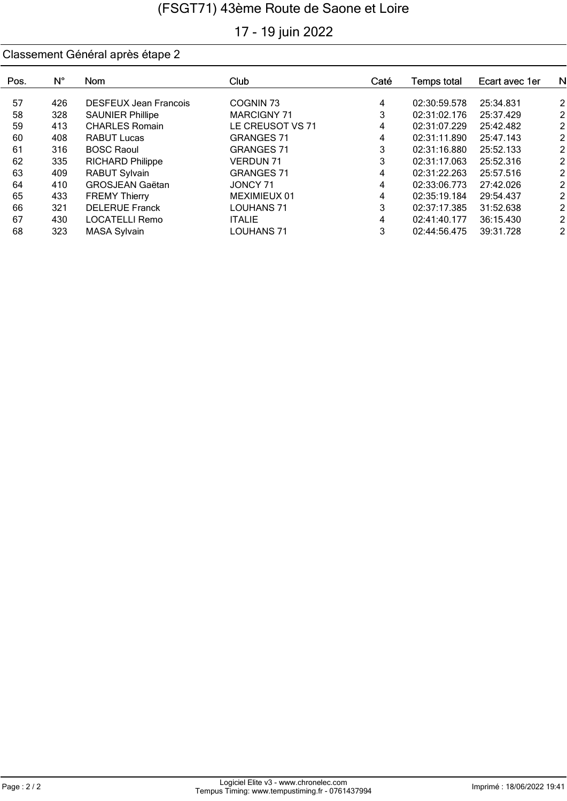# 17 - 19 juin 2022

| Pos. | N°  | <b>Nom</b>                   | Club               | Caté | Temps total  | Ecart avec 1er | NI             |
|------|-----|------------------------------|--------------------|------|--------------|----------------|----------------|
|      |     |                              |                    |      |              |                |                |
| 57   | 426 | <b>DESFEUX Jean Francois</b> | COGNIN 73          | 4    | 02:30:59.578 | 25:34.831      | $\mathsf{2}$   |
| 58   | 328 | <b>SAUNIER Phillipe</b>      | <b>MARCIGNY 71</b> | 3    | 02:31:02.176 | 25:37.429      | $\mathsf{2}$   |
| 59   | 413 | <b>CHARLES Romain</b>        | LE CREUSOT VS 71   | 4    | 02:31:07.229 | 25:42.482      | $\mathsf{2}$   |
| 60   | 408 | <b>RABUT Lucas</b>           | <b>GRANGES 71</b>  | 4    | 02:31:11.890 | 25:47.143      | $\overline{2}$ |
| 61   | 316 | <b>BOSC Raoul</b>            | <b>GRANGES 71</b>  | 3    | 02:31:16.880 | 25:52.133      | 2 <sub>l</sub> |
| 62   | 335 | <b>RICHARD Philippe</b>      | <b>VERDUN 71</b>   | 3    | 02:31:17.063 | 25:52.316      | 2 <sub>l</sub> |
| 63   | 409 | <b>RABUT Sylvain</b>         | <b>GRANGES 71</b>  | 4    | 02:31:22.263 | 25:57.516      | $\overline{2}$ |
| 64   | 410 | <b>GROSJEAN Gaëtan</b>       | JONCY 71           | 4    | 02:33:06.773 | 27:42.026      | $\overline{2}$ |
| 65   | 433 | <b>FREMY Thierry</b>         | MEXIMIEUX 01       | 4    | 02:35:19.184 | 29:54.437      | $\overline{2}$ |
| 66   | 321 | <b>DELERUE Franck</b>        | LOUHANS 71         | 3    | 02:37:17.385 | 31:52.638      | 21             |
| 67   | 430 | LOCATELLI Remo               | <b>ITALIE</b>      | 4    | 02:41:40.177 | 36:15.430      | 21             |
| 68   | 323 | <b>MASA Sylvain</b>          | <b>LOUHANS 71</b>  | 3    | 02:44:56.475 | 39:31.728      | 21             |
|      |     |                              |                    |      |              |                |                |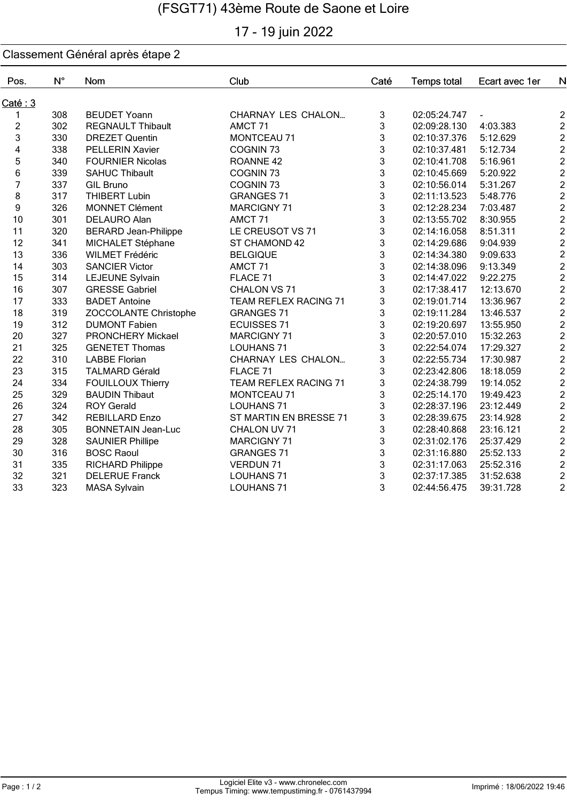# 17 - 19 juin 2022

| Pos.                    | $N^{\circ}$ | Nom                         | Club                         | Caté | <b>Temps total</b> | Ecart avec 1er | N                                          |
|-------------------------|-------------|-----------------------------|------------------------------|------|--------------------|----------------|--------------------------------------------|
| Caté: 3                 |             |                             |                              |      |                    |                |                                            |
| 1                       | 308         | <b>BEUDET Yoann</b>         | CHARNAY LES CHALON           | 3    | 02:05:24.747       |                | $\overline{c}$                             |
| $\overline{c}$          | 302         | <b>REGNAULT Thibault</b>    | AMCT 71                      | 3    | 02:09:28.130       | 4:03.383       |                                            |
| 3                       | 330         | <b>DREZET Quentin</b>       | <b>MONTCEAU 71</b>           | 3    | 02:10:37.376       | 5:12.629       | $\begin{array}{c} 2 \\ 2 \\ 2 \end{array}$ |
| $\overline{\mathbf{4}}$ | 338         | <b>PELLERIN Xavier</b>      | COGNIN <sub>73</sub>         | 3    | 02:10:37.481       | 5:12.734       |                                            |
| 5                       | 340         | <b>FOURNIER Nicolas</b>     | ROANNE <sub>42</sub>         | 3    | 02:10:41.708       | 5:16.961       | $\begin{array}{c} 2 \\ 2 \\ 2 \end{array}$ |
| 6                       | 339         | <b>SAHUC Thibault</b>       | COGNIN <sub>73</sub>         | 3    | 02:10:45.669       | 5:20.922       |                                            |
| $\overline{7}$          | 337         | <b>GIL Bruno</b>            | COGNIN <sub>73</sub>         | 3    | 02:10:56.014       | 5:31.267       |                                            |
| 8                       | 317         | <b>THIBERT Lubin</b>        | <b>GRANGES 71</b>            | 3    | 02:11:13.523       | 5:48.776       |                                            |
| 9                       | 326         | <b>MONNET Clément</b>       | <b>MARCIGNY 71</b>           | 3    | 02:12:28.234       | 7:03.487       | $\begin{array}{c} 2 \\ 2 \\ 2 \end{array}$ |
| 10                      | 301         | <b>DELAURO Alan</b>         | AMCT <sub>71</sub>           | 3    | 02:13:55.702       | 8:30.955       |                                            |
| 11                      | 320         | <b>BERARD Jean-Philippe</b> | LE CREUSOT VS 71             | 3    | 02:14:16.058       | 8:51.311       | $\overline{c}$                             |
| 12                      | 341         | MICHALET Stéphane           | ST CHAMOND 42                | 3    | 02:14:29.686       | 9:04.939       | $\frac{2}{2}$                              |
| 13                      | 336         | <b>WILMET Frédéric</b>      | <b>BELGIQUE</b>              | 3    | 02:14:34.380       | 9:09.633       |                                            |
| 14                      | 303         | <b>SANCIER Victor</b>       | AMCT <sub>71</sub>           | 3    | 02:14:38.096       | 9:13.349       |                                            |
| 15                      | 314         | LEJEUNE Sylvain             | FLACE 71                     | 3    | 02:14:47.022       | 9:22.275       | 2222                                       |
| 16                      | 307         | <b>GRESSE Gabriel</b>       | CHALON VS 71                 | 3    | 02:17:38.417       | 12:13.670      |                                            |
| 17                      | 333         | <b>BADET Antoine</b>        | <b>TEAM REFLEX RACING 71</b> | 3    | 02:19:01.714       | 13:36.967      |                                            |
| 18                      | 319         | ZOCCOLANTE Christophe       | <b>GRANGES 71</b>            | 3    | 02:19:11.284       | 13:46.537      |                                            |
| 19                      | 312         | <b>DUMONT Fabien</b>        | <b>ECUISSES 71</b>           | 3    | 02:19:20.697       | 13:55.950      | $\overline{c}$                             |
| 20                      | 327         | PRONCHERY Mickael           | <b>MARCIGNY 71</b>           | 3    | 02:20:57.010       | 15:32.263      | $\overline{\mathbf{c}}$                    |
| 21                      | 325         | <b>GENETET Thomas</b>       | <b>LOUHANS 71</b>            | 3    | 02:22:54.074       | 17:29.327      | $\overline{\mathbf{c}}$                    |
| 22                      | 310         | <b>LABBE Florian</b>        | CHARNAY LES CHALON           | 3    | 02:22:55.734       | 17:30.987      | $\overline{c}$                             |
| 23                      | 315         | <b>TALMARD Gérald</b>       | FLACE 71                     | 3    | 02:23:42.806       | 18:18.059      | $\overline{c}$                             |
| 24                      | 334         | <b>FOUILLOUX Thierry</b>    | TEAM REFLEX RACING 71        | 3    | 02:24:38.799       | 19:14.052      | $\overline{c}$                             |
| 25                      | 329         | <b>BAUDIN Thibaut</b>       | MONTCEAU 71                  | 3    | 02:25:14.170       | 19:49.423      | $\overline{c}$                             |
| 26                      | 324         | <b>ROY Gerald</b>           | <b>LOUHANS 71</b>            | 3    | 02:28:37.196       | 23:12.449      | $\overline{2}$                             |
| 27                      | 342         | <b>REBILLARD Enzo</b>       | ST MARTIN EN BRESSE 71       | 3    | 02:28:39.675       | 23:14.928      | $\overline{c}$                             |
| 28                      | 305         | <b>BONNETAIN Jean-Luc</b>   | CHALON UV 71                 | 3    | 02:28:40.868       | 23:16.121      | $\overline{2}$                             |
| 29                      | 328         | <b>SAUNIER Phillipe</b>     | <b>MARCIGNY 71</b>           | 3    | 02:31:02.176       | 25:37.429      | $\overline{2}$                             |
| 30                      | 316         | <b>BOSC Raoul</b>           | <b>GRANGES 71</b>            | 3    | 02:31:16.880       | 25:52.133      | $\frac{2}{2}$                              |
| 31                      | 335         | RICHARD Philippe            | <b>VERDUN 71</b>             | 3    | 02:31:17.063       | 25:52.316      |                                            |
| 32                      | 321         | <b>DELERUE Franck</b>       | <b>LOUHANS 71</b>            | 3    | 02:37:17.385       | 31:52.638      | $\frac{2}{2}$                              |
| 33                      | 323         | <b>MASA Sylvain</b>         | <b>LOUHANS 71</b>            | 3    | 02:44:56.475       | 39:31.728      |                                            |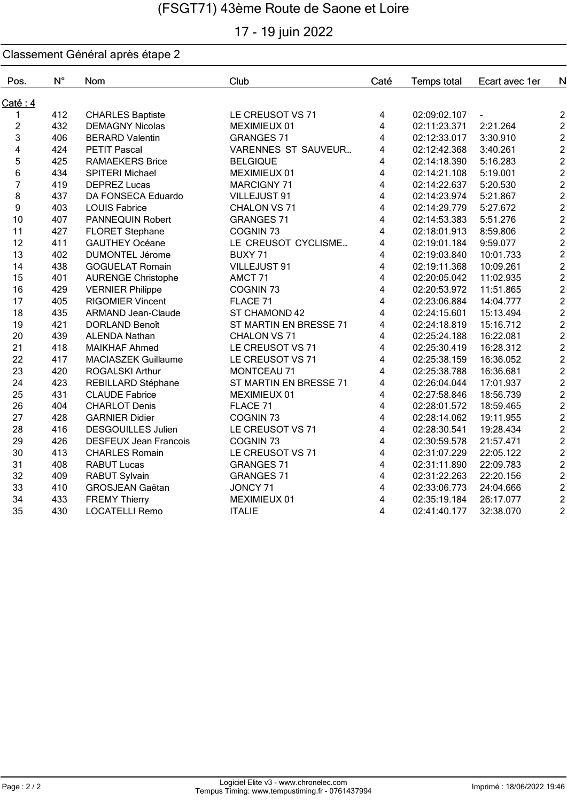# 17 - 19 juin 2022

| Pos.                    | $N^{\circ}$ | Nom                          | Club                       | Caté                    | <b>Temps total</b> | Ecart avec 1er | $\mathsf{N}$            |
|-------------------------|-------------|------------------------------|----------------------------|-------------------------|--------------------|----------------|-------------------------|
| Caté: 4                 |             |                              |                            |                         |                    |                |                         |
| 1                       | 412         | <b>CHARLES Baptiste</b>      | LE CREUSOT VS 71           | 4                       | 02:09:02.107       |                | 2                       |
| $\overline{c}$          | 432         | <b>DEMAGNY Nicolas</b>       | MEXIMIEUX 01               | 4                       | 02:11:23.371       | 2:21.264       | $\frac{2}{2}$           |
| 3                       | 406         | <b>BERARD Valentin</b>       | <b>GRANGES 71</b>          | 4                       | 02:12:33.017       | 3:30.910       |                         |
| $\overline{\mathbf{4}}$ | 424         | <b>PETIT Pascal</b>          | <b>VARENNES ST SAUVEUR</b> | 4                       | 02:12:42.368       | 3:40.261       | $\overline{a}$          |
| 5                       | 425         | <b>RAMAEKERS Brice</b>       | <b>BELGIQUE</b>            | $\overline{\mathbf{4}}$ | 02:14:18.390       | 5:16.283       | $\frac{2}{2}$           |
| 6                       | 434         | SPITERI Michael              | MEXIMIEUX 01               | $\overline{\mathbf{4}}$ | 02:14:21.108       | 5:19.001       |                         |
| $\overline{7}$          | 419         | <b>DEPREZ Lucas</b>          | <b>MARCIGNY 71</b>         | 4                       | 02:14:22.637       | 5:20.530       | $\overline{2}$          |
| 8                       | 437         | DA FONSECA Eduardo           | VILLEJUST 91               | 4                       | 02:14:23.974       | 5:21.867       | $\overline{c}$          |
| 9                       | 403         | <b>LOUIS Fabrice</b>         | CHALON VS 71               | 4                       | 02:14:29.779       | 5:27.672       | $\overline{c}$          |
| 10                      | 407         | PANNEQUIN Robert             | <b>GRANGES 71</b>          | 4                       | 02:14:53.383       | 5:51.276       | $\overline{c}$          |
| 11                      | 427         | <b>FLORET Stephane</b>       | COGNIN <sub>73</sub>       | 4                       | 02:18:01.913       | 8:59.806       | $\overline{c}$          |
| 12                      | 411         | <b>GAUTHEY Océane</b>        | LE CREUSOT CYCLISME        | 4                       | 02:19:01.184       | 9:59.077       |                         |
| 13                      | 402         | <b>DUMONTEL Jérome</b>       | BUXY 71                    | 4                       | 02:19:03.840       | 10:01.733      | 2222                    |
| 14                      | 438         | <b>GOGUELAT Romain</b>       | VILLEJUST 91               | $\overline{\mathbf{4}}$ | 02:19:11.368       | 10:09.261      |                         |
| 15                      | 401         | <b>AURENGE Christophe</b>    | AMCT <sub>71</sub>         | $\overline{\mathbf{4}}$ | 02:20:05.042       | 11:02.935      |                         |
| 16                      | 429         | <b>VERNIER Philippe</b>      | COGNIN <sub>73</sub>       | 4                       | 02:20:53.972       | 11:51.865      |                         |
| 17                      | 405         | <b>RIGOMIER Vincent</b>      | FLACE 71                   | $\overline{\mathbf{4}}$ | 02:23:06.884       | 14:04.777      | $\overline{c}$          |
| 18                      | 435         | <b>ARMAND Jean-Claude</b>    | ST CHAMOND 42              | 4                       | 02:24:15.601       | 15:13.494      |                         |
| 19                      | 421         | <b>DORLAND Benoît</b>        | ST MARTIN EN BRESSE 71     | 4                       | 02:24:18.819       | 15:16.712      | $2222$<br>$222$         |
| 20                      | 439         | <b>ALENDA Nathan</b>         | CHALON VS 71               | $\overline{\mathbf{4}}$ | 02:25:24.188       | 16:22.081      |                         |
| 21                      | 418         | <b>MAIKHAF Ahmed</b>         | LE CREUSOT VS 71           | $\overline{\mathbf{4}}$ | 02:25:30.419       | 16:28.312      |                         |
| 22                      | 417         | MACIASZEK Guillaume          | LE CREUSOT VS 71           | 4                       | 02:25:38.159       | 16:36.052      |                         |
| 23                      | 420         | <b>ROGALSKI Arthur</b>       | MONTCEAU 71                | $\overline{\mathbf{4}}$ | 02:25:38.788       | 16:36.681      |                         |
| 24                      | 423         | REBILLARD Stéphane           | ST MARTIN EN BRESSE 71     | 4                       | 02:26:04.044       | 17:01.937      | $\overline{2}$          |
| 25                      | 431         | <b>CLAUDE Fabrice</b>        | MEXIMIEUX 01               | 4                       | 02:27:58.846       | 18:56.739      | $\overline{c}$          |
| 26                      | 404         | <b>CHARLOT Denis</b>         | FLACE 71                   | 4                       | 02:28:01.572       | 18:59.465      | $\overline{c}$          |
| 27                      | 428         | <b>GARNIER Didier</b>        | COGNIN <sub>73</sub>       | 4                       | 02:28:14.062       | 19:11.955      | $\overline{\mathbf{c}}$ |
| 28                      | 416         | <b>DESGOUILLES Julien</b>    | LE CREUSOT VS 71           | 4                       | 02:28:30.541       | 19:28.434      |                         |
| 29                      | 426         | <b>DESFEUX Jean Francois</b> | COGNIN <sub>73</sub>       | 4                       | 02:30:59.578       | 21:57.471      | 2222                    |
| 30                      | 413         | <b>CHARLES Romain</b>        | LE CREUSOT VS 71           | $\overline{\mathbf{4}}$ | 02:31:07.229       | 22:05.122      |                         |
| 31                      | 408         | <b>RABUT Lucas</b>           | <b>GRANGES 71</b>          | 4                       | 02:31:11.890       | 22:09.783      |                         |
| 32                      | 409         | RABUT Sylvain                | <b>GRANGES 71</b>          | 4                       | 02:31:22.263       | 22:20.156      |                         |
| 33                      | 410         | <b>GROSJEAN Gaëtan</b>       | JONCY 71                   | 4                       | 02:33:06.773       | 24:04.666      | $\overline{\mathbf{c}}$ |
| 34                      | 433         | <b>FREMY Thierry</b>         | MEXIMIEUX 01               | 4                       | 02:35:19.184       | 26:17.077      | $\overline{\mathbf{c}}$ |
| 35                      | 430         | <b>LOCATELLI Remo</b>        | <b>ITALIE</b>              | 4                       | 02:41:40.177       | 32:38.070      | $\overline{2}$          |
|                         |             |                              |                            |                         |                    |                |                         |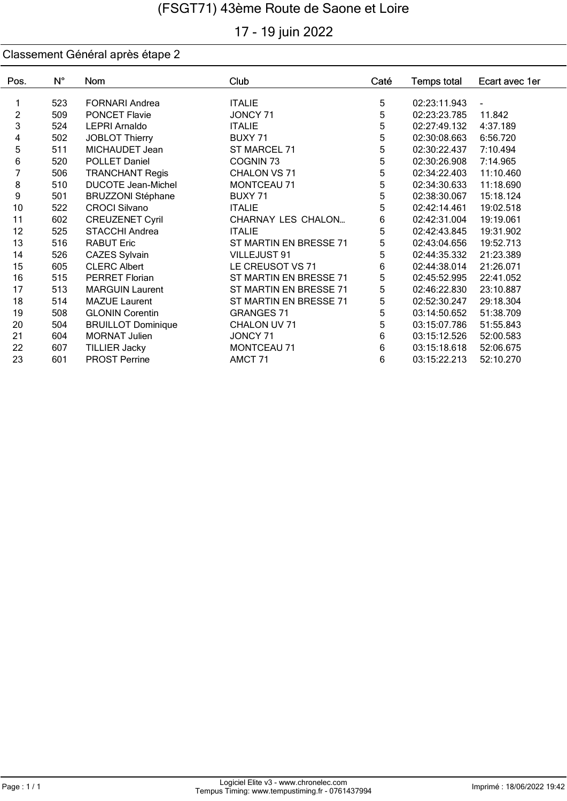# 17 - 19 juin 2022

| Pos.           | $N^{\circ}$ | Nom                       | Club                   | Caté       | <b>Temps total</b> | Ecart avec 1er |
|----------------|-------------|---------------------------|------------------------|------------|--------------------|----------------|
| 1              | 523         | <b>FORNARI Andrea</b>     | <b>ITALIE</b>          | 5          | 02:23:11.943       |                |
| $\overline{c}$ |             |                           |                        | 5          |                    |                |
|                | 509         | <b>PONCET Flavie</b>      | JONCY 71               |            | 02:23:23.785       | 11.842         |
| 3              | 524         | <b>LEPRI Arnaldo</b>      | <b>ITALIE</b>          | 5          | 02:27:49.132       | 4:37.189       |
| 4              | 502         | JOBLOT Thierry            | BUXY 71                | 5          | 02:30:08.663       | 6:56.720       |
| 5              | 511         | MICHAUDET Jean            | ST MARCEL 71           | 5          | 02:30:22.437       | 7:10.494       |
| 6              | 520         | POLLET Daniel             | COGNIN <sub>73</sub>   | 5          | 02:30:26.908       | 7:14.965       |
| 7              | 506         | <b>TRANCHANT Regis</b>    | CHALON VS 71           | $\sqrt{5}$ | 02:34:22.403       | 11:10.460      |
| 8              | 510         | <b>DUCOTE Jean-Michel</b> | MONTCEAU 71            | 5          | 02:34:30.633       | 11:18.690      |
| 9              | 501         | <b>BRUZZONI Stéphane</b>  | BUXY 71                | 5          | 02:38:30.067       | 15:18.124      |
| 10             | 522         | <b>CROCI Silvano</b>      | <b>ITALIE</b>          | 5          | 02:42:14.461       | 19:02.518      |
| 11             | 602         | <b>CREUZENET Cyril</b>    | CHARNAY LES CHALON     | 6          | 02:42:31.004       | 19:19.061      |
| 12             | 525         | <b>STACCHI Andrea</b>     | <b>ITALIE</b>          | 5          | 02:42:43.845       | 19:31.902      |
| 13             | 516         | <b>RABUT Eric</b>         | ST MARTIN EN BRESSE 71 | 5          | 02:43:04.656       | 19:52.713      |
| 14             | 526         | <b>CAZES Sylvain</b>      | <b>VILLEJUST 91</b>    | 5          | 02:44:35.332       | 21:23.389      |
| 15             | 605         | <b>CLERC Albert</b>       | LE CREUSOT VS 71       | 6          | 02:44:38.014       | 21:26.071      |
| 16             | 515         | <b>PERRET Florian</b>     | ST MARTIN EN BRESSE 71 | 5          | 02:45:52.995       | 22:41.052      |
| 17             | 513         | <b>MARGUIN Laurent</b>    | ST MARTIN EN BRESSE 71 | 5          | 02:46:22.830       | 23:10.887      |
| 18             | 514         | <b>MAZUE Laurent</b>      | ST MARTIN EN BRESSE 71 | 5          | 02:52:30.247       | 29:18.304      |
| 19             | 508         | <b>GLONIN Corentin</b>    | <b>GRANGES 71</b>      | 5          | 03:14:50.652       | 51:38.709      |
| 20             | 504         | <b>BRUILLOT Dominique</b> | CHALON UV 71           | 5          | 03:15:07.786       | 51:55.843      |
| 21             | 604         | <b>MORNAT Julien</b>      | JONCY 71               | 6          | 03:15:12.526       | 52:00.583      |
| 22             | 607         | <b>TILLIER Jacky</b>      | MONTCEAU 71            | 6          | 03:15:18.618       | 52:06.675      |
| 23             | 601         | <b>PROST Perrine</b>      | AMCT <sub>71</sub>     | 6          | 03:15:22.213       | 52:10.270      |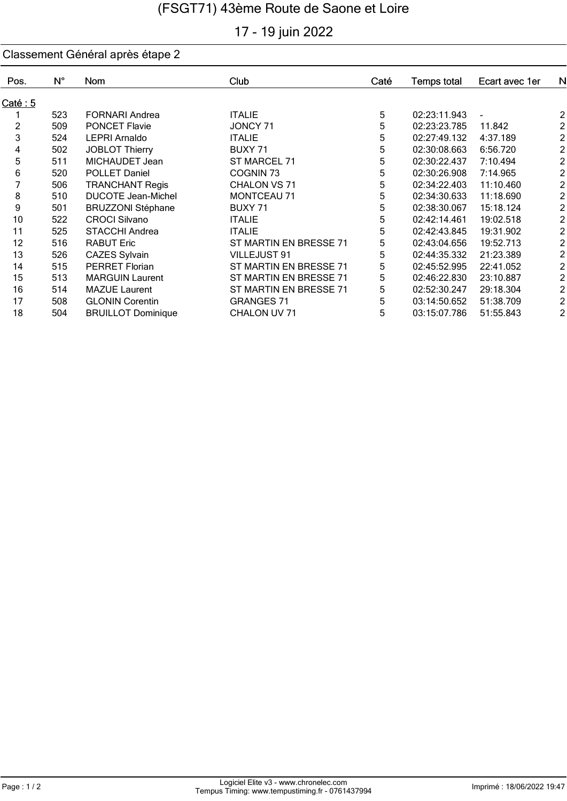# 17 - 19 juin 2022

| Pos.    | $N^{\circ}$ | Nom                       | Club                   | Caté | Temps total  | Ecart avec 1er | N                       |
|---------|-------------|---------------------------|------------------------|------|--------------|----------------|-------------------------|
| Caté: 5 |             |                           |                        |      |              |                |                         |
|         | 523         | <b>FORNARI Andrea</b>     | <b>ITALIE</b>          | 5    | 02:23:11.943 |                | 2                       |
| 2       | 509         | <b>PONCET Flavie</b>      | JONCY 71               | 5    | 02:23:23.785 | 11.842         | $\overline{c}$          |
| 3       | 524         | <b>LEPRI Arnaldo</b>      | <b>ITALIE</b>          | 5    | 02:27:49.132 | 4:37.189       | $\overline{2}$          |
| 4       | 502         | <b>JOBLOT Thierry</b>     | BUXY 71                | 5    | 02:30:08.663 | 6:56.720       | $\overline{\mathbf{c}}$ |
| 5       | 511         | MICHAUDET Jean            | ST MARCEL 71           | 5    | 02:30:22.437 | 7:10.494       | $\overline{\mathbf{c}}$ |
| 6       | 520         | <b>POLLET Daniel</b>      | COGNIN <sub>73</sub>   | 5    | 02:30:26.908 | 7:14.965       | $\overline{\mathbf{c}}$ |
|         | 506         | <b>TRANCHANT Regis</b>    | CHALON VS 71           | 5    | 02:34:22.403 | 11:10.460      | $\overline{\mathbf{c}}$ |
| 8       | 510         | <b>DUCOTE Jean-Michel</b> | <b>MONTCEAU 71</b>     | 5    | 02:34:30.633 | 11:18.690      | $\overline{\mathbf{c}}$ |
| 9       | 501         | <b>BRUZZONI Stéphane</b>  | BUXY 71                | 5    | 02:38:30.067 | 15:18.124      | $\overline{\mathbf{c}}$ |
| 10      | 522         | <b>CROCI Silvano</b>      | <b>ITALIE</b>          | 5    | 02:42:14.461 | 19:02.518      | $\overline{\mathbf{c}}$ |
| 11      | 525         | <b>STACCHI Andrea</b>     | <b>ITALIE</b>          | 5    | 02:42:43.845 | 19:31.902      | $\overline{\mathbf{c}}$ |
| 12      | 516         | <b>RABUT Eric</b>         | ST MARTIN EN BRESSE 71 | 5    | 02:43:04.656 | 19:52.713      | $\overline{\mathbf{c}}$ |
| 13      | 526         | <b>CAZES Sylvain</b>      | <b>VILLEJUST 91</b>    | 5    | 02:44:35.332 | 21:23.389      | $\overline{\mathbf{c}}$ |
| 14      | 515         | <b>PERRET Florian</b>     | ST MARTIN EN BRESSE 71 | 5    | 02:45:52.995 | 22:41.052      | $\overline{\mathbf{c}}$ |
| 15      | 513         | <b>MARGUIN Laurent</b>    | ST MARTIN EN BRESSE 71 | 5    | 02:46:22.830 | 23:10.887      | $\overline{\mathbf{c}}$ |
| 16      | 514         | <b>MAZUE Laurent</b>      | ST MARTIN EN BRESSE 71 | 5    | 02:52:30.247 | 29:18.304      | $\overline{\mathbf{c}}$ |
| 17      | 508         | <b>GLONIN Corentin</b>    | <b>GRANGES 71</b>      | 5    | 03:14:50.652 | 51:38.709      | $\overline{\mathbf{c}}$ |
| 18      | 504         | <b>BRUILLOT Dominique</b> | CHALON UV 71           | 5    | 03:15:07.786 | 51:55.843      | $\overline{c}$          |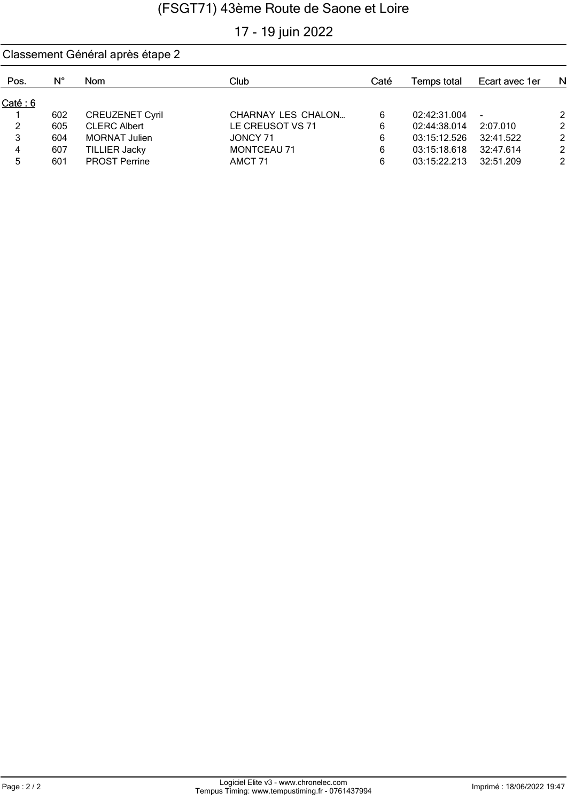## 17 - 19 juin 2022

#### Classement Général après étape 2  $N^{\circ}$ Pos. Club Caté Temps total Ecart avec 1er Nom N  $Caté: 6$ 1 602 CREUZENET Cyril CHARNAY LES CHALON ... 6 02:42:31.004 - 2 2 605 CLERC Albert LE CREUSOT VS 71 6 02:44:38.014 2:07.010 2 3 604 MORNAT Julien JONCY 71 6 03:15:12.526 32:41.522 2 4 607 TILLIER Jacky MONTCEAU 71 6 03:15:18.618 32:47.614 5 601 PROST Perrine AMCT 71 6 03:15:22.213 32:51.209 2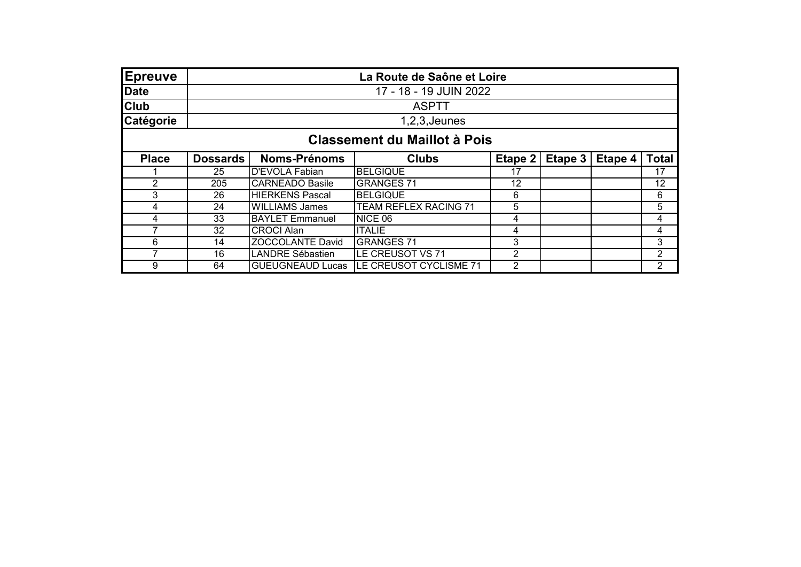| <b>Epreuve</b> | La Route de Saône et Loire          |                         |                        |                |         |         |                |  |  |
|----------------|-------------------------------------|-------------------------|------------------------|----------------|---------|---------|----------------|--|--|
| Date           | 17 - 18 - 19 JUIN 2022              |                         |                        |                |         |         |                |  |  |
| <b>Club</b>    |                                     | <b>ASPTT</b>            |                        |                |         |         |                |  |  |
| Catégorie      | $1,2,3$ , Jeunes                    |                         |                        |                |         |         |                |  |  |
|                | <b>Classement du Maillot à Pois</b> |                         |                        |                |         |         |                |  |  |
| <b>Place</b>   | <b>Dossards</b>                     | <b>Noms-Prénoms</b>     | <b>Clubs</b>           | Etape 2        | Etape 3 | Etape 4 | <b>Total</b>   |  |  |
|                | 25                                  | D'EVOLA Fabian          | <b>BELGIQUE</b>        | 17             |         |         | 17             |  |  |
| $\overline{2}$ | 205                                 | <b>CARNEADO Basile</b>  | <b>GRANGES 71</b>      | 12             |         |         | 12             |  |  |
| 3              | 26                                  | <b>HIERKENS Pascal</b>  | <b>BELGIQUE</b>        | 6              |         |         | 6              |  |  |
| 4              | 24                                  | <b>WILLIAMS James</b>   | TEAM REFLEX RACING 71  | 5              |         |         | 5              |  |  |
| 4              | 33                                  | <b>BAYLET Emmanuel</b>  | NICE 06                | 4              |         |         | 4              |  |  |
|                | 32                                  | <b>CROCI Alan</b>       | <b>ITALIE</b>          | 4              |         |         | 4              |  |  |
| 6              | 14                                  | <b>ZOCCOLANTE David</b> | <b>GRANGES 71</b>      | 3              |         |         | 3              |  |  |
| 7              | 16                                  | LANDRE Sébastien        | LE CREUSOT VS 71       | $\overline{2}$ |         |         | $\overline{2}$ |  |  |
| 9              | 64                                  | <b>GUEUGNEAUD Lucas</b> | LE CREUSOT CYCLISME 71 | 2              |         |         | $\overline{2}$ |  |  |